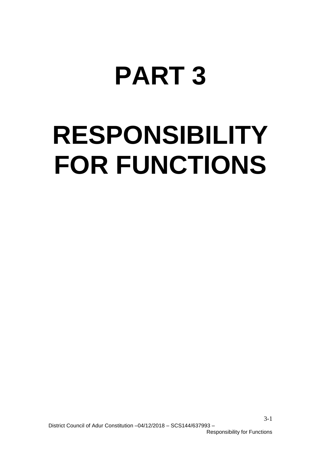# **PART 3**

# **RESPONSIBILITY FOR FUNCTIONS**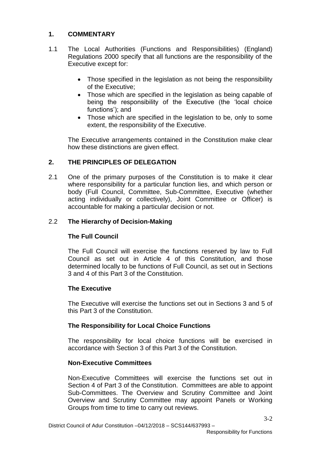## **1. COMMENTARY**

- 1.1 The Local Authorities (Functions and Responsibilities) (England) Regulations 2000 specify that all functions are the responsibility of the Executive except for:
	- Those specified in the legislation as not being the responsibility of the Executive;
	- Those which are specified in the legislation as being capable of being the responsibility of the Executive (the 'local choice functions'); and
	- Those which are specified in the legislation to be, only to some extent, the responsibility of the Executive.

The Executive arrangements contained in the Constitution make clear how these distinctions are given effect.

# **2. THE PRINCIPLES OF DELEGATION**

2.1 One of the primary purposes of the Constitution is to make it clear where responsibility for a particular function lies, and which person or body (Full Council, Committee, Sub-Committee, Executive (whether acting individually or collectively), Joint Committee or Officer) is accountable for making a particular decision or not.

# 2.2 **The Hierarchy of Decision-Making**

## **The Full Council**

The Full Council will exercise the functions reserved by law to Full Council as set out in Article 4 of this Constitution, and those determined locally to be functions of Full Council, as set out in Sections 3 and 4 of this Part 3 of the Constitution.

## **The Executive**

The Executive will exercise the functions set out in Sections 3 and 5 of this Part 3 of the Constitution.

## **The Responsibility for Local Choice Functions**

The responsibility for local choice functions will be exercised in accordance with Section 3 of this Part 3 of the Constitution.

## **Non-Executive Committees**

Non-Executive Committees will exercise the functions set out in Section 4 of Part 3 of the Constitution. Committees are able to appoint Sub-Committees. The Overview and Scrutiny Committee and Joint Overview and Scrutiny Committee may appoint Panels or Working Groups from time to time to carry out reviews.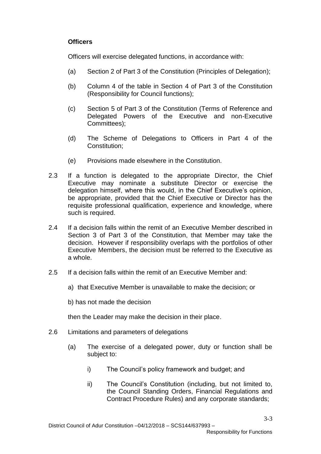# **Officers**

Officers will exercise delegated functions, in accordance with:

- (a) Section 2 of Part 3 of the Constitution (Principles of Delegation);
- (b) Column 4 of the table in Section 4 of Part 3 of the Constitution (Responsibility for Council functions);
- (c) Section 5 of Part 3 of the Constitution (Terms of Reference and Delegated Powers of the Executive and non-Executive Committees);
- (d) The Scheme of Delegations to Officers in Part 4 of the Constitution;
- (e) Provisions made elsewhere in the Constitution.
- 2.3 If a function is delegated to the appropriate Director, the Chief Executive may nominate a substitute Director or exercise the delegation himself, where this would, in the Chief Executive's opinion, be appropriate, provided that the Chief Executive or Director has the requisite professional qualification, experience and knowledge, where such is required.
- 2.4 If a decision falls within the remit of an Executive Member described in Section 3 of Part 3 of the Constitution, that Member may take the decision. However if responsibility overlaps with the portfolios of other Executive Members, the decision must be referred to the Executive as a whole.
- 2.5 If a decision falls within the remit of an Executive Member and:
	- a) that Executive Member is unavailable to make the decision; or

b) has not made the decision

then the Leader may make the decision in their place.

- 2.6 Limitations and parameters of delegations
	- (a) The exercise of a delegated power, duty or function shall be subject to:
		- i) The Council's policy framework and budget; and
		- ii) The Council's Constitution (including, but not limited to, the Council Standing Orders, Financial Regulations and Contract Procedure Rules) and any corporate standards;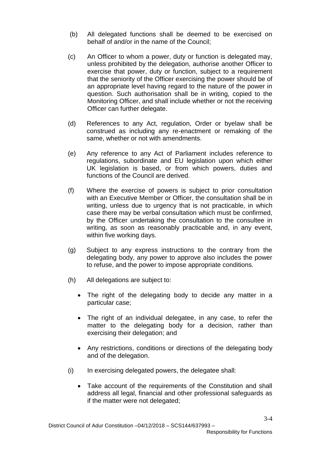- (b) All delegated functions shall be deemed to be exercised on behalf of and/or in the name of the Council;
- (c) An Officer to whom a power, duty or function is delegated may, unless prohibited by the delegation, authorise another Officer to exercise that power, duty or function, subject to a requirement that the seniority of the Officer exercising the power should be of an appropriate level having regard to the nature of the power in question. Such authorisation shall be in writing, copied to the Monitoring Officer, and shall include whether or not the receiving Officer can further delegate.
- (d) References to any Act, regulation, Order or byelaw shall be construed as including any re-enactment or remaking of the same, whether or not with amendments.
- (e) Any reference to any Act of Parliament includes reference to regulations, subordinate and EU legislation upon which either UK legislation is based, or from which powers, duties and functions of the Council are derived.
- (f) Where the exercise of powers is subject to prior consultation with an Executive Member or Officer, the consultation shall be in writing, unless due to urgency that is not practicable, in which case there may be verbal consultation which must be confirmed, by the Officer undertaking the consultation to the consultee in writing, as soon as reasonably practicable and, in any event, within five working days.
- (g) Subject to any express instructions to the contrary from the delegating body, any power to approve also includes the power to refuse, and the power to impose appropriate conditions.
- (h) All delegations are subject to:
	- The right of the delegating body to decide any matter in a particular case;
	- The right of an individual delegatee, in any case, to refer the matter to the delegating body for a decision, rather than exercising their delegation; and
	- Any restrictions, conditions or directions of the delegating body and of the delegation.
- (i) In exercising delegated powers, the delegatee shall:
	- Take account of the requirements of the Constitution and shall address all legal, financial and other professional safeguards as if the matter were not delegated;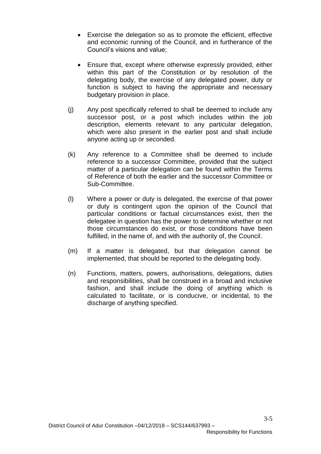- Exercise the delegation so as to promote the efficient, effective and economic running of the Council, and in furtherance of the Council's visions and value;
- Ensure that, except where otherwise expressly provided, either within this part of the Constitution or by resolution of the delegating body, the exercise of any delegated power, duty or function is subject to having the appropriate and necessary budgetary provision in place.
- (j) Any post specifically referred to shall be deemed to include any successor post, or a post which includes within the job description, elements relevant to any particular delegation, which were also present in the earlier post and shall include anyone acting up or seconded.
- (k) Any reference to a Committee shall be deemed to include reference to a successor Committee, provided that the subject matter of a particular delegation can be found within the Terms of Reference of both the earlier and the successor Committee or Sub-Committee.
- (l) Where a power or duty is delegated, the exercise of that power or duty is contingent upon the opinion of the Council that particular conditions or factual circumstances exist, then the delegatee in question has the power to determine whether or not those circumstances do exist, or those conditions have been fulfilled, in the name of, and with the authority of, the Council.
- (m) If a matter is delegated, but that delegation cannot be implemented, that should be reported to the delegating body.
- (n) Functions, matters, powers, authorisations, delegations, duties and responsibilities, shall be construed in a broad and inclusive fashion, and shall include the doing of anything which is calculated to facilitate, or is conducive, or incidental, to the discharge of anything specified.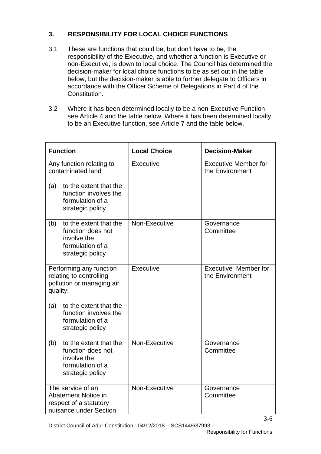# **3. RESPONSIBILITY FOR LOCAL CHOICE FUNCTIONS**

- 3.1 These are functions that could be, but don't have to be, the responsibility of the Executive, and whether a function is Executive or non-Executive, is down to local choice. The Council has determined the decision-maker for local choice functions to be as set out in the table below, but the decision-maker is able to further delegate to Officers in accordance with the Officer Scheme of Delegations in Part 4 of the Constitution.
- 3.2 Where it has been determined locally to be a non-Executive Function, see Article 4 and the table below. Where it has been determined locally to be an Executive function, see Article 7 and the table below.

| <b>Function</b>                                                                                                                                 | <b>Local Choice</b> | <b>Decision-Maker</b>                          |
|-------------------------------------------------------------------------------------------------------------------------------------------------|---------------------|------------------------------------------------|
| Any function relating to<br>contaminated land<br>to the extent that the<br>(a)<br>function involves the<br>formulation of a<br>strategic policy | Executive           | <b>Executive Member for</b><br>the Environment |
| to the extent that the<br>(b)<br>function does not<br>involve the<br>formulation of a<br>strategic policy                                       | Non-Executive       | Governance<br>Committee                        |
| Performing any function<br>relating to controlling<br>pollution or managing air<br>quality:                                                     | Executive           | <b>Executive Member for</b><br>the Environment |
| to the extent that the<br>(a)<br>function involves the<br>formulation of a<br>strategic policy                                                  |                     |                                                |
| to the extent that the<br>(b)<br>function does not<br>involve the<br>formulation of a<br>strategic policy                                       | Non-Executive       | Governance<br>Committee                        |
| The service of an<br>Abatement Notice in<br>respect of a statutory<br>nuisance under Section                                                    | Non-Executive       | Governance<br>Committee                        |

District Council of Adur Constitution –04/12/2018 – SCS144/637993 –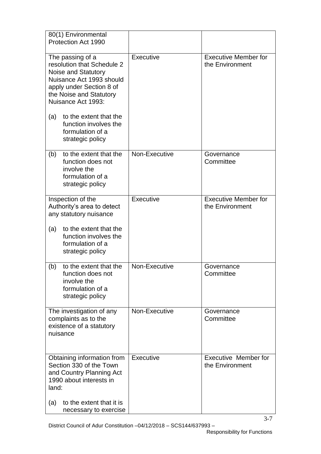| 80(1) Environmental<br>Protection Act 1990                                                                                                                                                                                                                                       |               |                                                |
|----------------------------------------------------------------------------------------------------------------------------------------------------------------------------------------------------------------------------------------------------------------------------------|---------------|------------------------------------------------|
| The passing of a<br>resolution that Schedule 2<br>Noise and Statutory<br>Nuisance Act 1993 should<br>apply under Section 8 of<br>the Noise and Statutory<br>Nuisance Act 1993:<br>to the extent that the<br>(a)<br>function involves the<br>formulation of a<br>strategic policy | Executive     | <b>Executive Member for</b><br>the Environment |
| to the extent that the<br>(b)<br>function does not<br>involve the<br>formulation of a<br>strategic policy                                                                                                                                                                        | Non-Executive | Governance<br>Committee                        |
| Inspection of the<br>Authority's area to detect<br>any statutory nuisance                                                                                                                                                                                                        | Executive     | <b>Executive Member for</b><br>the Environment |
| to the extent that the<br>(a)<br>function involves the<br>formulation of a<br>strategic policy                                                                                                                                                                                   |               |                                                |
| to the extent that the<br>(b)<br>function does not<br>involve the<br>formulation of a<br>strategic policy                                                                                                                                                                        | Non-Executive | Governance<br>Committee                        |
| The investigation of any<br>complaints as to the<br>existence of a statutory<br>nuisance                                                                                                                                                                                         | Non-Executive | Governance<br>Committee                        |
| Obtaining information from<br>Section 330 of the Town<br>and Country Planning Act<br>1990 about interests in<br>land:                                                                                                                                                            | Executive     | <b>Executive Member for</b><br>the Environment |
| to the extent that it is<br>(a)<br>necessary to exercise                                                                                                                                                                                                                         |               |                                                |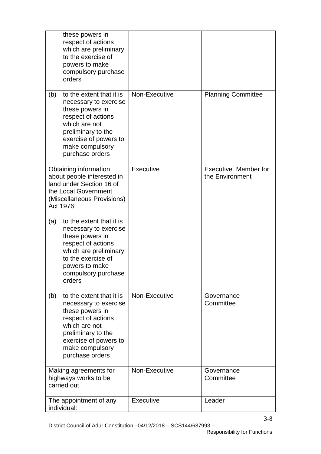| these powers in<br>respect of actions<br>which are preliminary<br>to the exercise of<br>powers to make<br>compulsory purchase<br>orders                                                                 |               |                                                |
|---------------------------------------------------------------------------------------------------------------------------------------------------------------------------------------------------------|---------------|------------------------------------------------|
| to the extent that it is<br>(b)<br>necessary to exercise<br>these powers in<br>respect of actions<br>which are not<br>preliminary to the<br>exercise of powers to<br>make compulsory<br>purchase orders | Non-Executive | <b>Planning Committee</b>                      |
| Obtaining information<br>about people interested in<br>land under Section 16 of<br>the Local Government<br>(Miscellaneous Provisions)<br>Act 1976:                                                      | Executive     | <b>Executive Member for</b><br>the Environment |
| to the extent that it is<br>(a)<br>necessary to exercise<br>these powers in<br>respect of actions<br>which are preliminary<br>to the exercise of<br>powers to make<br>compulsory purchase<br>orders     |               |                                                |
| to the extent that it is<br>(b)<br>necessary to exercise<br>these powers in<br>respect of actions<br>which are not<br>preliminary to the<br>exercise of powers to<br>make compulsory<br>purchase orders | Non-Executive | Governance<br>Committee                        |
| Making agreements for<br>highways works to be<br>carried out                                                                                                                                            | Non-Executive | Governance<br>Committee                        |
| The appointment of any<br>individual:                                                                                                                                                                   | Executive     | Leader                                         |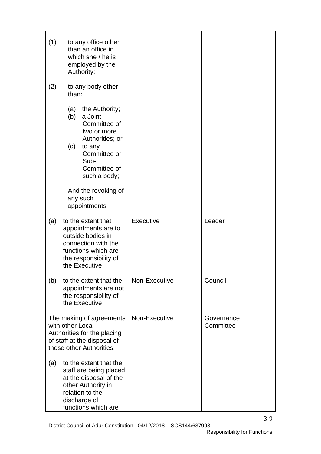| (1) |                   | to any office other<br>than an office in<br>which she / he is<br>employed by the<br>Authority;                                                             |               |                         |
|-----|-------------------|------------------------------------------------------------------------------------------------------------------------------------------------------------|---------------|-------------------------|
| (2) | than:             | to any body other                                                                                                                                          |               |                         |
|     | (a)<br>(b)<br>(c) | the Authority;<br>a Joint<br>Committee of<br>two or more<br>Authorities; or<br>to any<br>Committee or<br>Sub-<br>Committee of<br>such a body;              |               |                         |
|     |                   | And the revoking of<br>any such<br>appointments                                                                                                            |               |                         |
| (a) |                   | to the extent that<br>appointments are to<br>outside bodies in<br>connection with the<br>functions which are<br>the responsibility of<br>the Executive     | Executive     | Leader                  |
| (b) |                   | to the extent that the<br>appointments are not<br>the responsibility of<br>the Executive                                                                   | Non-Executive | Council                 |
|     | with other Local  | The making of agreements<br>Authorities for the placing<br>of staff at the disposal of<br>those other Authorities:                                         | Non-Executive | Governance<br>Committee |
| (a) |                   | to the extent that the<br>staff are being placed<br>at the disposal of the<br>other Authority in<br>relation to the<br>discharge of<br>functions which are |               |                         |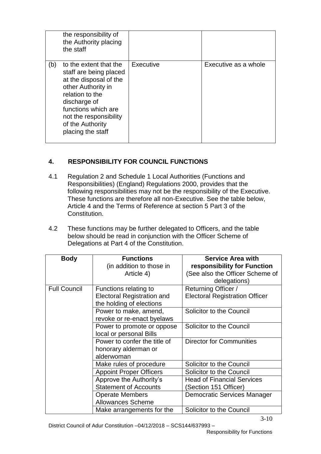|     | the responsibility of<br>the Authority placing<br>the staff                                                                                                                                                                   |           |                      |
|-----|-------------------------------------------------------------------------------------------------------------------------------------------------------------------------------------------------------------------------------|-----------|----------------------|
| (b) | to the extent that the<br>staff are being placed<br>at the disposal of the<br>other Authority in<br>relation to the<br>discharge of<br>functions which are<br>not the responsibility<br>of the Authority<br>placing the staff | Executive | Executive as a whole |

# **4. RESPONSIBILITY FOR COUNCIL FUNCTIONS**

- 4.1 Regulation 2 and Schedule 1 Local Authorities (Functions and Responsibilities) (England) Regulations 2000, provides that the following responsibilities may not be the responsibility of the Executive. These functions are therefore all non-Executive. See the table below, Article 4 and the Terms of Reference at section 5 Part 3 of the Constitution.
- 4.2 These functions may be further delegated to Officers, and the table below should be read in conjunction with the Officer Scheme of Delegations at Part 4 of the Constitution.

| <b>Body</b>         | <b>Functions</b>                  | <b>Service Area with</b>              |
|---------------------|-----------------------------------|---------------------------------------|
|                     | (in addition to those in          | responsibility for Function           |
|                     | Article 4)                        | (See also the Officer Scheme of       |
|                     |                                   | delegations)                          |
| <b>Full Council</b> | Functions relating to             | Returning Officer /                   |
|                     | <b>Electoral Registration and</b> | <b>Electoral Registration Officer</b> |
|                     | the holding of elections          |                                       |
|                     | Power to make, amend,             | Solicitor to the Council              |
|                     | revoke or re-enact byelaws        |                                       |
|                     | Power to promote or oppose        | Solicitor to the Council              |
|                     | local or personal Bills           |                                       |
|                     | Power to confer the title of      | <b>Director for Communities</b>       |
|                     | honorary alderman or              |                                       |
|                     | alderwoman                        |                                       |
|                     | Make rules of procedure           | Solicitor to the Council              |
|                     | <b>Appoint Proper Officers</b>    | Solicitor to the Council              |
|                     | Approve the Authority's           | <b>Head of Financial Services</b>     |
|                     | <b>Statement of Accounts</b>      | (Section 151 Officer)                 |
|                     | <b>Operate Members</b>            | Democratic Services Manager           |
|                     | <b>Allowances Scheme</b>          |                                       |
|                     | Make arrangements for the         | Solicitor to the Council              |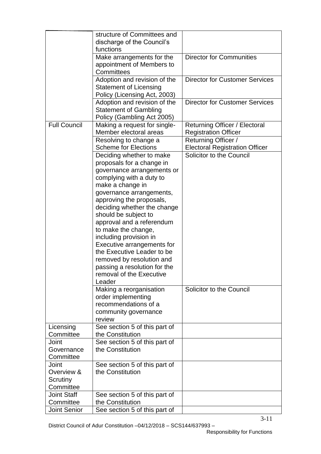|                     | structure of Committees and<br>discharge of the Council's                                                                                                                                                                                                                                                                                                                                                                                                                                       |                                                              |
|---------------------|-------------------------------------------------------------------------------------------------------------------------------------------------------------------------------------------------------------------------------------------------------------------------------------------------------------------------------------------------------------------------------------------------------------------------------------------------------------------------------------------------|--------------------------------------------------------------|
|                     | functions                                                                                                                                                                                                                                                                                                                                                                                                                                                                                       |                                                              |
|                     | Make arrangements for the<br>appointment of Members to                                                                                                                                                                                                                                                                                                                                                                                                                                          | Director for Communities                                     |
|                     | Committees                                                                                                                                                                                                                                                                                                                                                                                                                                                                                      |                                                              |
|                     | Adoption and revision of the<br><b>Statement of Licensing</b><br>Policy (Licensing Act, 2003)                                                                                                                                                                                                                                                                                                                                                                                                   | <b>Director for Customer Services</b>                        |
|                     | Adoption and revision of the                                                                                                                                                                                                                                                                                                                                                                                                                                                                    | <b>Director for Customer Services</b>                        |
|                     | <b>Statement of Gambling</b><br>Policy (Gambling Act 2005)                                                                                                                                                                                                                                                                                                                                                                                                                                      |                                                              |
| <b>Full Council</b> | Making a request for single-<br>Member electoral areas                                                                                                                                                                                                                                                                                                                                                                                                                                          | Returning Officer / Electoral<br><b>Registration Officer</b> |
|                     | Resolving to change a                                                                                                                                                                                                                                                                                                                                                                                                                                                                           | Returning Officer /                                          |
|                     | <b>Scheme for Elections</b>                                                                                                                                                                                                                                                                                                                                                                                                                                                                     | <b>Electoral Registration Officer</b>                        |
|                     | Deciding whether to make<br>proposals for a change in<br>governance arrangements or<br>complying with a duty to<br>make a change in<br>governance arrangements,<br>approving the proposals,<br>deciding whether the change<br>should be subject to<br>approval and a referendum<br>to make the change,<br>including provision in<br>Executive arrangements for<br>the Executive Leader to be<br>removed by resolution and<br>passing a resolution for the<br>removal of the Executive<br>Leader | Solicitor to the Council                                     |
|                     | Making a reorganisation<br>order implementing<br>recommendations of a<br>community governance<br>review                                                                                                                                                                                                                                                                                                                                                                                         | Solicitor to the Council                                     |
| Licensing           | See section 5 of this part of                                                                                                                                                                                                                                                                                                                                                                                                                                                                   |                                                              |
| Committee           | the Constitution                                                                                                                                                                                                                                                                                                                                                                                                                                                                                |                                                              |
| Joint<br>Governance | See section 5 of this part of<br>the Constitution                                                                                                                                                                                                                                                                                                                                                                                                                                               |                                                              |
| Committee           |                                                                                                                                                                                                                                                                                                                                                                                                                                                                                                 |                                                              |
| Joint               | See section 5 of this part of                                                                                                                                                                                                                                                                                                                                                                                                                                                                   |                                                              |
| Overview &          | the Constitution                                                                                                                                                                                                                                                                                                                                                                                                                                                                                |                                                              |
| Scrutiny            |                                                                                                                                                                                                                                                                                                                                                                                                                                                                                                 |                                                              |
| Committee           |                                                                                                                                                                                                                                                                                                                                                                                                                                                                                                 |                                                              |
| <b>Joint Staff</b>  | See section 5 of this part of                                                                                                                                                                                                                                                                                                                                                                                                                                                                   |                                                              |
| Committee           | the Constitution                                                                                                                                                                                                                                                                                                                                                                                                                                                                                |                                                              |
| <b>Joint Senior</b> | See section 5 of this part of                                                                                                                                                                                                                                                                                                                                                                                                                                                                   |                                                              |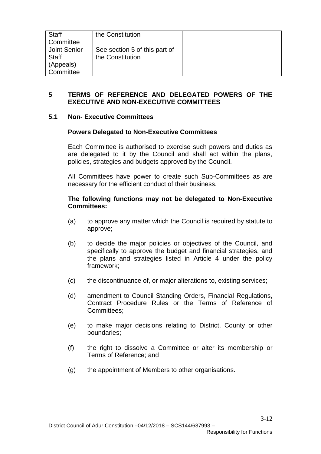| <b>Staff</b><br>Committee | the Constitution              |  |
|---------------------------|-------------------------------|--|
|                           |                               |  |
| Joint Senior              | See section 5 of this part of |  |
| Staff                     | the Constitution              |  |
| (Appeals)                 |                               |  |
| Committee                 |                               |  |

#### **5 TERMS OF REFERENCE AND DELEGATED POWERS OF THE EXECUTIVE AND NON-EXECUTIVE COMMITTEES**

#### **5.1 Non- Executive Committees**

#### **Powers Delegated to Non-Executive Committees**

Each Committee is authorised to exercise such powers and duties as are delegated to it by the Council and shall act within the plans, policies, strategies and budgets approved by the Council.

All Committees have power to create such Sub-Committees as are necessary for the efficient conduct of their business.

#### **The following functions may not be delegated to Non-Executive Committees:**

- (a) to approve any matter which the Council is required by statute to approve;
- (b) to decide the major policies or objectives of the Council, and specifically to approve the budget and financial strategies, and the plans and strategies listed in Article 4 under the policy framework;
- (c) the discontinuance of, or major alterations to, existing services;
- (d) amendment to Council Standing Orders, Financial Regulations, Contract Procedure Rules or the Terms of Reference of Committees;
- (e) to make major decisions relating to District, County or other boundaries;
- (f) the right to dissolve a Committee or alter its membership or Terms of Reference; and
- (g) the appointment of Members to other organisations.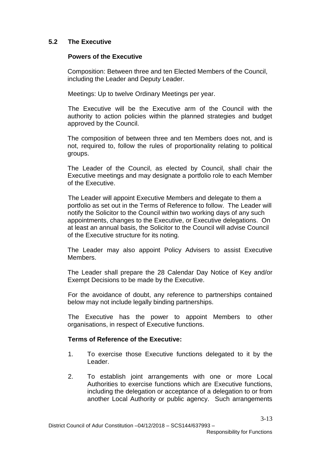## **5.2 The Executive**

## **Powers of the Executive**

Composition: Between three and ten Elected Members of the Council, including the Leader and Deputy Leader.

Meetings: Up to twelve Ordinary Meetings per year.

The Executive will be the Executive arm of the Council with the authority to action policies within the planned strategies and budget approved by the Council.

The composition of between three and ten Members does not, and is not, required to, follow the rules of proportionality relating to political groups.

The Leader of the Council, as elected by Council, shall chair the Executive meetings and may designate a portfolio role to each Member of the Executive.

The Leader will appoint Executive Members and delegate to them a portfolio as set out in the Terms of Reference to follow. The Leader will notify the Solicitor to the Council within two working days of any such appointments, changes to the Executive, or Executive delegations. On at least an annual basis, the Solicitor to the Council will advise Council of the Executive structure for its noting.

The Leader may also appoint Policy Advisers to assist Executive Members.

The Leader shall prepare the 28 Calendar Day Notice of Key and/or Exempt Decisions to be made by the Executive.

For the avoidance of doubt, any reference to partnerships contained below may not include legally binding partnerships.

The Executive has the power to appoint Members to other organisations, in respect of Executive functions.

## **Terms of Reference of the Executive:**

- 1. To exercise those Executive functions delegated to it by the Leader.
- 2. To establish joint arrangements with one or more Local Authorities to exercise functions which are Executive functions, including the delegation or acceptance of a delegation to or from another Local Authority or public agency. Such arrangements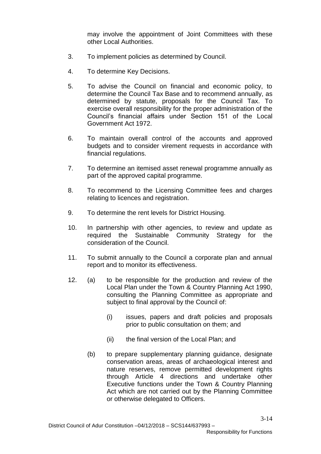may involve the appointment of Joint Committees with these other Local Authorities.

- 3. To implement policies as determined by Council.
- 4. To determine Key Decisions.
- 5. To advise the Council on financial and economic policy, to determine the Council Tax Base and to recommend annually, as determined by statute, proposals for the Council Tax. To exercise overall responsibility for the proper administration of the Council's financial affairs under Section 151 of the Local Government Act 1972.
- 6. To maintain overall control of the accounts and approved budgets and to consider virement requests in accordance with financial regulations.
- 7. To determine an itemised asset renewal programme annually as part of the approved capital programme.
- 8. To recommend to the Licensing Committee fees and charges relating to licences and registration.
- 9. To determine the rent levels for District Housing.
- 10. In partnership with other agencies, to review and update as required the Sustainable Community Strategy for the consideration of the Council.
- 11. To submit annually to the Council a corporate plan and annual report and to monitor its effectiveness.
- 12. (a) to be responsible for the production and review of the Local Plan under the Town & Country Planning Act 1990, consulting the Planning Committee as appropriate and subject to final approval by the Council of:
	- (i) issues, papers and draft policies and proposals prior to public consultation on them; and
	- (ii) the final version of the Local Plan; and
	- (b) to prepare supplementary planning guidance, designate conservation areas, areas of archaeological interest and nature reserves, remove permitted development rights through Article 4 directions and undertake other Executive functions under the Town & Country Planning Act which are not carried out by the Planning Committee or otherwise delegated to Officers.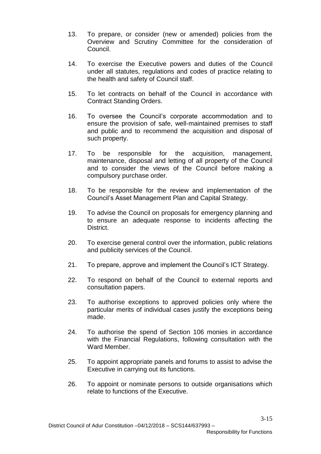- 13. To prepare, or consider (new or amended) policies from the Overview and Scrutiny Committee for the consideration of Council.
- 14. To exercise the Executive powers and duties of the Council under all statutes, regulations and codes of practice relating to the health and safety of Council staff.
- 15. To let contracts on behalf of the Council in accordance with Contract Standing Orders.
- 16. To oversee the Council's corporate accommodation and to ensure the provision of safe, well-maintained premises to staff and public and to recommend the acquisition and disposal of such property.
- 17. To be responsible for the acquisition, management, maintenance, disposal and letting of all property of the Council and to consider the views of the Council before making a compulsory purchase order.
- 18. To be responsible for the review and implementation of the Council's Asset Management Plan and Capital Strategy.
- 19. To advise the Council on proposals for emergency planning and to ensure an adequate response to incidents affecting the District.
- 20. To exercise general control over the information, public relations and publicity services of the Council.
- 21. To prepare, approve and implement the Council's ICT Strategy.
- 22. To respond on behalf of the Council to external reports and consultation papers.
- 23. To authorise exceptions to approved policies only where the particular merits of individual cases justify the exceptions being made.
- 24. To authorise the spend of Section 106 monies in accordance with the Financial Regulations, following consultation with the Ward Member
- 25. To appoint appropriate panels and forums to assist to advise the Executive in carrying out its functions.
- 26. To appoint or nominate persons to outside organisations which relate to functions of the Executive.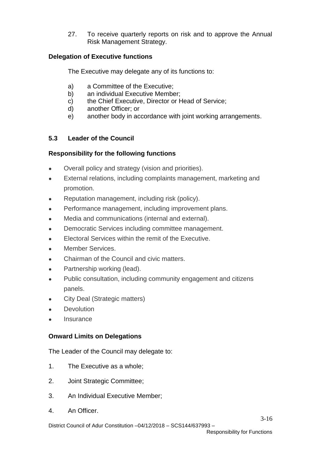27. To receive quarterly reports on risk and to approve the Annual Risk Management Strategy.

## **Delegation of Executive functions**

The Executive may delegate any of its functions to:

- a) a Committee of the Executive;
- b) an individual Executive Member;
- c) the Chief Executive, Director or Head of Service;
- d) another Officer; or
- e) another body in accordance with joint working arrangements.

# **5.3 Leader of the Council**

# **Responsibility for the following functions**

- Overall policy and strategy (vision and priorities).
- External relations, including complaints management, marketing and promotion.
- Reputation management, including risk (policy).
- Performance management, including improvement plans.
- Media and communications (internal and external).
- Democratic Services including committee management.
- Electoral Services within the remit of the Executive.
- Member Services.
- Chairman of the Council and civic matters.
- Partnership working (lead).
- Public consultation, including community engagement and citizens panels.
- City Deal (Strategic matters)
- **Devolution**
- **Insurance**

## **Onward Limits on Delegations**

The Leader of the Council may delegate to:

- 1. The Executive as a whole;
- 2. Joint Strategic Committee;
- 3. An Individual Executive Member;
- 4. An Officer.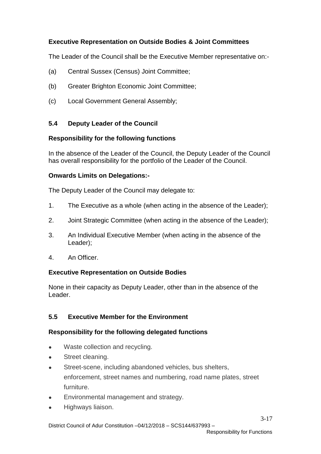# **Executive Representation on Outside Bodies & Joint Committees**

The Leader of the Council shall be the Executive Member representative on:-

- (a) Central Sussex (Census) Joint Committee;
- (b) Greater Brighton Economic Joint Committee;
- (c) Local Government General Assembly;

#### **5.4 Deputy Leader of the Council**

#### **Responsibility for the following functions**

In the absence of the Leader of the Council, the Deputy Leader of the Council has overall responsibility for the portfolio of the Leader of the Council.

#### **Onwards Limits on Delegations:-**

The Deputy Leader of the Council may delegate to:

- 1. The Executive as a whole (when acting in the absence of the Leader);
- 2. Joint Strategic Committee (when acting in the absence of the Leader);
- 3. An Individual Executive Member (when acting in the absence of the Leader);
- 4. An Officer.

#### **Executive Representation on Outside Bodies**

None in their capacity as Deputy Leader, other than in the absence of the Leader.

## **5.5 Executive Member for the Environment**

#### **Responsibility for the following delegated functions**

- Waste collection and recycling.
- Street cleaning.
- Street-scene, including abandoned vehicles, bus shelters, enforcement, street names and numbering, road name plates, street furniture.
- Environmental management and strategy.
- Highways liaison.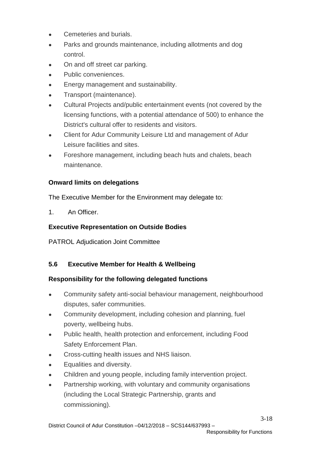- Cemeteries and burials.
- Parks and grounds maintenance, including allotments and dog control.
- On and off street car parking.
- Public conveniences.
- Energy management and sustainability.
- Transport (maintenance).
- Cultural Projects and/public entertainment events (not covered by the licensing functions, with a potential attendance of 500) to enhance the District's cultural offer to residents and visitors.
- Client for Adur Community Leisure Ltd and management of Adur Leisure facilities and sites.
- Foreshore management, including beach huts and chalets, beach maintenance.

# **Onward limits on delegations**

The Executive Member for the Environment may delegate to:

1. An Officer.

# **Executive Representation on Outside Bodies**

PATROL Adjudication Joint Committee

# **5.6 Executive Member for Health & Wellbeing**

# **Responsibility for the following delegated functions**

- Community safety anti-social behaviour management, neighbourhood disputes, safer communities.
- Community development, including cohesion and planning, fuel poverty, wellbeing hubs.
- Public health, health protection and enforcement, including Food Safety Enforcement Plan.
- Cross-cutting health issues and NHS liaison.
- Equalities and diversity.
- Children and young people, including family intervention project.
- Partnership working, with voluntary and community organisations (including the Local Strategic Partnership, grants and commissioning).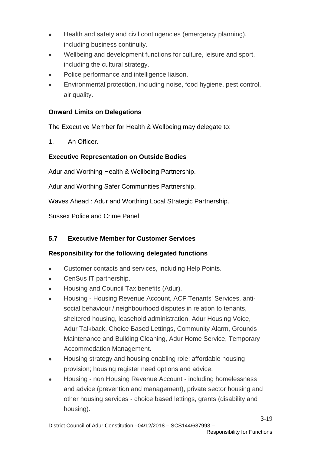- Health and safety and civil contingencies (emergency planning), including business continuity.
- Wellbeing and development functions for culture, leisure and sport, including the cultural strategy.
- Police performance and intelligence liaison.
- Environmental protection, including noise, food hygiene, pest control, air quality.

# **Onward Limits on Delegations**

The Executive Member for Health & Wellbeing may delegate to:

1 An Officer

# **Executive Representation on Outside Bodies**

Adur and Worthing Health & Wellbeing Partnership.

Adur and Worthing Safer Communities Partnership.

Waves Ahead : Adur and Worthing Local Strategic Partnership.

Sussex Police and Crime Panel

# **5.7 Executive Member for Customer Services**

# **Responsibility for the following delegated functions**

- Customer contacts and services, including Help Points.
- CenSus IT partnership.
- Housing and Council Tax benefits (Adur).
- Housing Housing Revenue Account, ACF Tenants' Services, antisocial behaviour / neighbourhood disputes in relation to tenants, sheltered housing, leasehold administration, Adur Housing Voice, Adur Talkback, Choice Based Lettings, Community Alarm, Grounds Maintenance and Building Cleaning, Adur Home Service, Temporary Accommodation Management.
- Housing strategy and housing enabling role; affordable housing provision; housing register need options and advice.
- Housing non Housing Revenue Account including homelessness and advice (prevention and management), private sector housing and other housing services - choice based lettings, grants (disability and housing).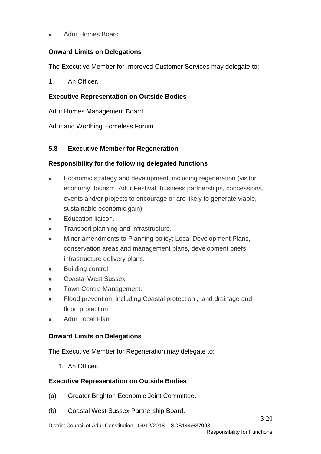● Adur Homes Board

# **Onward Limits on Delegations**

The Executive Member for Improved Customer Services may delegate to:

1 An Officer

#### **Executive Representation on Outside Bodies**

Adur Homes Management Board

Adur and Worthing Homeless Forum

## **5.8 Executive Member for Regeneration**

#### **Responsibility for the following delegated functions**

- Economic strategy and development, including regeneration (visitor economy, tourism, Adur Festival, business partnerships, concessions, events and/or projects to encourage or are likely to generate viable, sustainable economic gain)
- Education liaison.
- Transport planning and infrastructure.
- Minor amendments to Planning policy; Local Development Plans, conservation areas and management plans, development briefs, infrastructure delivery plans.
- Building control.
- Coastal West Sussex.
- Town Centre Management.
- Flood prevention, including Coastal protection, land drainage and flood protection.
- **Adur Local Plan**

## **Onward Limits on Delegations**

The Executive Member for Regeneration may delegate to:

1. An Officer.

#### **Executive Representation on Outside Bodies**

- (a) Greater Brighton Economic Joint Committee.
- (b) Coastal West Sussex Partnership Board.

District Council of Adur Constitution –04/12/2018 – SCS144/637993 –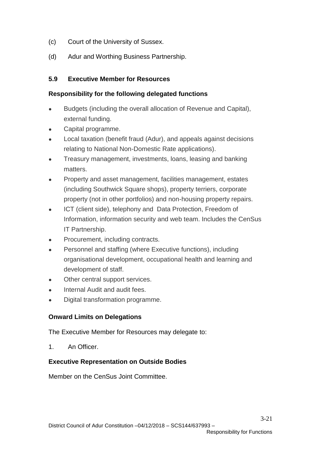- (c) Court of the University of Sussex.
- (d) Adur and Worthing Business Partnership.

## **5.9 Executive Member for Resources**

# **Responsibility for the following delegated functions**

- Budgets (including the overall allocation of Revenue and Capital), external funding.
- Capital programme.
- Local taxation (benefit fraud (Adur), and appeals against decisions relating to National Non-Domestic Rate applications).
- Treasury management, investments, loans, leasing and banking matters.
- Property and asset management, facilities management, estates (including Southwick Square shops), property terriers, corporate property (not in other portfolios) and non-housing property repairs.
- ICT (client side), telephony and Data Protection, Freedom of Information, information security and web team. Includes the CenSus IT Partnership.
- Procurement, including contracts.
- Personnel and staffing (where Executive functions), including organisational development, occupational health and learning and development of staff.
- Other central support services.
- Internal Audit and audit fees.
- Digital transformation programme.

# **Onward Limits on Delegations**

The Executive Member for Resources may delegate to:

1. An Officer.

## **Executive Representation on Outside Bodies**

Member on the CenSus Joint Committee.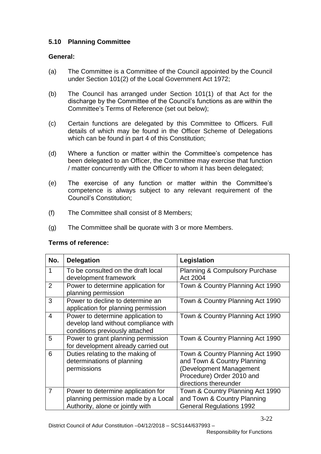# **5.10 Planning Committee**

## **General:**

- (a) The Committee is a Committee of the Council appointed by the Council under Section 101(2) of the Local Government Act 1972;
- (b) The Council has arranged under Section 101(1) of that Act for the discharge by the Committee of the Council's functions as are within the Committee's Terms of Reference (set out below);
- (c) Certain functions are delegated by this Committee to Officers. Full details of which may be found in the Officer Scheme of Delegations which can be found in part 4 of this Constitution;
- (d) Where a function or matter within the Committee's competence has been delegated to an Officer, the Committee may exercise that function / matter concurrently with the Officer to whom it has been delegated;
- (e) The exercise of any function or matter within the Committee's competence is always subject to any relevant requirement of the Council's Constitution;
- (f) The Committee shall consist of 8 Members;
- (g) The Committee shall be quorate with 3 or more Members.

## **Terms of reference:**

| No.            | <b>Delegation</b>                                                                                             | Legislation                                                                                                                                      |
|----------------|---------------------------------------------------------------------------------------------------------------|--------------------------------------------------------------------------------------------------------------------------------------------------|
| 1              | To be consulted on the draft local<br>development framework                                                   | <b>Planning &amp; Compulsory Purchase</b><br>Act 2004                                                                                            |
| 2              | Power to determine application for<br>planning permission                                                     | Town & Country Planning Act 1990                                                                                                                 |
| 3              | Power to decline to determine an<br>application for planning permission                                       | Town & Country Planning Act 1990                                                                                                                 |
| $\overline{4}$ | Power to determine application to<br>develop land without compliance with<br>conditions previously attached   | Town & Country Planning Act 1990                                                                                                                 |
| 5              | Power to grant planning permission<br>for development already carried out                                     | Town & Country Planning Act 1990                                                                                                                 |
| 6              | Duties relating to the making of<br>determinations of planning<br>permissions                                 | Town & Country Planning Act 1990<br>and Town & Country Planning<br>(Development Management<br>Procedure) Order 2010 and<br>directions thereunder |
| 7              | Power to determine application for<br>planning permission made by a Local<br>Authority, alone or jointly with | Town & Country Planning Act 1990<br>and Town & Country Planning<br><b>General Regulations 1992</b>                                               |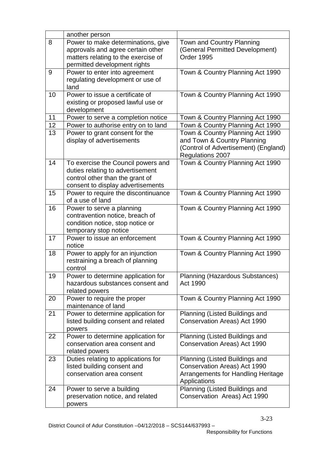|    | another person                                                                                                                                 |                                                                                                                             |
|----|------------------------------------------------------------------------------------------------------------------------------------------------|-----------------------------------------------------------------------------------------------------------------------------|
| 8  | Power to make determinations, give<br>approvals and agree certain other<br>matters relating to the exercise of<br>permitted development rights | Town and Country Planning<br>(General Permitted Development)<br>Order 1995                                                  |
| 9  | Power to enter into agreement<br>regulating development or use of<br>land                                                                      | Town & Country Planning Act 1990                                                                                            |
| 10 | Power to issue a certificate of<br>existing or proposed lawful use or<br>development                                                           | Town & Country Planning Act 1990                                                                                            |
| 11 | Power to serve a completion notice                                                                                                             | Town & Country Planning Act 1990                                                                                            |
| 12 | Power to authorise entry on to land                                                                                                            | Town & Country Planning Act 1990                                                                                            |
| 13 | Power to grant consent for the<br>display of advertisements                                                                                    | Town & Country Planning Act 1990<br>and Town & Country Planning<br>(Control of Advertisement) (England)<br>Regulations 2007 |
| 14 | To exercise the Council powers and<br>duties relating to advertisement<br>control other than the grant of<br>consent to display advertisements | Town & Country Planning Act 1990                                                                                            |
| 15 | Power to require the discontinuance<br>of a use of land                                                                                        | Town & Country Planning Act 1990                                                                                            |
| 16 | Power to serve a planning<br>contravention notice, breach of<br>condition notice, stop notice or<br>temporary stop notice                      | Town & Country Planning Act 1990                                                                                            |
| 17 | Power to issue an enforcement<br>notice                                                                                                        | Town & Country Planning Act 1990                                                                                            |
| 18 | Power to apply for an injunction<br>restraining a breach of planning<br>control                                                                | Town & Country Planning Act 1990                                                                                            |
| 19 | Power to determine application for<br>hazardous substances consent and<br>related powers                                                       | <b>Planning (Hazardous Substances)</b><br>Act 1990                                                                          |
| 20 | Power to require the proper<br>maintenance of land                                                                                             | Town & Country Planning Act 1990                                                                                            |
| 21 | Power to determine application for<br>listed building consent and related<br>powers                                                            | Planning (Listed Buildings and<br>Conservation Areas) Act 1990                                                              |
| 22 | Power to determine application for<br>conservation area consent and<br>related powers                                                          | Planning (Listed Buildings and<br>Conservation Areas) Act 1990                                                              |
| 23 | Duties relating to applications for<br>listed building consent and<br>conservation area consent                                                | Planning (Listed Buildings and<br>Conservation Areas) Act 1990<br><b>Arrangements for Handling Heritage</b><br>Applications |
| 24 | Power to serve a building<br>preservation notice, and related<br>powers                                                                        | Planning (Listed Buildings and<br>Conservation Areas) Act 1990                                                              |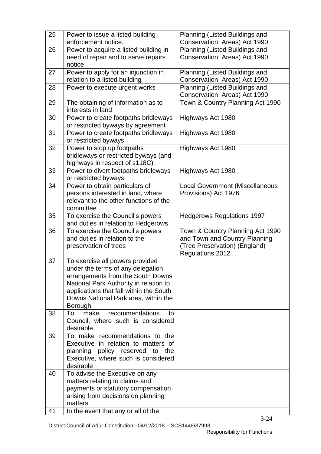| 25 | Power to issue a listed building<br>enforcement notice. | Planning (Listed Buildings and<br>Conservation Areas) Act 1990 |
|----|---------------------------------------------------------|----------------------------------------------------------------|
| 26 | Power to acquire a listed building in                   | Planning (Listed Buildings and                                 |
|    | need of repair and to serve repairs                     | Conservation Areas) Act 1990                                   |
|    | notice                                                  |                                                                |
| 27 | Power to apply for an injunction in                     | Planning (Listed Buildings and                                 |
|    | relation to a listed building                           | Conservation Areas) Act 1990                                   |
| 28 | Power to execute urgent works                           | Planning (Listed Buildings and                                 |
|    |                                                         | Conservation Areas) Act 1990                                   |
| 29 | The obtaining of information as to                      | Town & Country Planning Act 1990                               |
|    | interests in land                                       |                                                                |
| 30 | Power to create footpaths bridleways                    | Highways Act 1980                                              |
|    | or restricted byways by agreement                       |                                                                |
| 31 | Power to create footpaths bridleways                    | Highways Act 1980                                              |
|    | or restricted byways                                    |                                                                |
| 32 | Power to stop up footpaths                              | Highways Act 1980                                              |
|    | bridleways or restricted byways (and                    |                                                                |
|    | highways in respect of s118C)                           |                                                                |
| 33 | Power to divert footpaths bridleways                    |                                                                |
|    | or restricted byways                                    | Highways Act 1980                                              |
| 34 | Power to obtain particulars of                          | <b>Local Government (Miscellaneous</b>                         |
|    | persons interested in land, where                       | Provisions) Act 1976                                           |
|    | relevant to the other functions of the                  |                                                                |
|    | committee                                               |                                                                |
| 35 | To exercise the Council's powers                        | <b>Hedgerows Regulations 1997</b>                              |
|    | and duties in relation to Hedgerows                     |                                                                |
| 36 | To exercise the Council's powers                        | Town & Country Planning Act 1990                               |
|    | and duties in relation to the                           | and Town and Country Planning                                  |
|    | preservation of trees                                   | (Tree Preservation) (England)                                  |
|    |                                                         | Regulations 2012                                               |
| 37 | To exercise all powers provided                         |                                                                |
|    | under the terms of any delegation                       |                                                                |
|    | arrangements from the South Downs                       |                                                                |
|    | National Park Authority in relation to                  |                                                                |
|    | applications that fall within the South                 |                                                                |
|    | Downs National Park area, within the                    |                                                                |
|    | Borough                                                 |                                                                |
| 38 | recommendations<br>To<br>make<br>to                     |                                                                |
|    | Council, where such is considered                       |                                                                |
|    | desirable                                               |                                                                |
| 39 | To make recommendations to the                          |                                                                |
|    | Executive in relation to matters of                     |                                                                |
|    | planning policy reserved<br>to<br>the                   |                                                                |
|    | Executive, where such is considered                     |                                                                |
|    | desirable                                               |                                                                |
| 40 | To advise the Executive on any                          |                                                                |
|    | matters relating to claims and                          |                                                                |
|    | payments or statutory compensation                      |                                                                |
|    | arising from decisions on planning                      |                                                                |
|    | matters                                                 |                                                                |
| 41 | In the event that any or all of the                     |                                                                |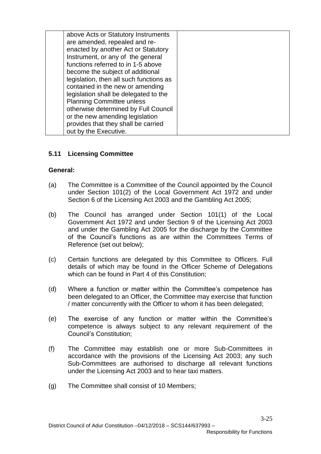| above Acts or Statutory Instruments     |  |
|-----------------------------------------|--|
| are amended, repealed and re-           |  |
| enacted by another Act or Statutory     |  |
| Instrument, or any of the general       |  |
| functions referred to in 1-5 above      |  |
| become the subject of additional        |  |
| legislation, then all such functions as |  |
| contained in the new or amending        |  |
| legislation shall be delegated to the   |  |
| <b>Planning Committee unless</b>        |  |
| otherwise determined by Full Council    |  |
| or the new amending legislation         |  |
| provides that they shall be carried     |  |
|                                         |  |
| out by the Executive.                   |  |

## **5.11 Licensing Committee**

#### **General:**

- (a) The Committee is a Committee of the Council appointed by the Council under Section 101(2) of the Local Government Act 1972 and under Section 6 of the Licensing Act 2003 and the Gambling Act 2005;
- (b) The Council has arranged under Section 101(1) of the Local Government Act 1972 and under Section 9 of the Licensing Act 2003 and under the Gambling Act 2005 for the discharge by the Committee of the Council's functions as are within the Committees Terms of Reference (set out below);
- (c) Certain functions are delegated by this Committee to Officers. Full details of which may be found in the Officer Scheme of Delegations which can be found in Part 4 of this Constitution;
- (d) Where a function or matter within the Committee's competence has been delegated to an Officer, the Committee may exercise that function / matter concurrently with the Officer to whom it has been delegated;
- (e) The exercise of any function or matter within the Committee's competence is always subject to any relevant requirement of the Council's Constitution;
- (f) The Committee may establish one or more Sub-Committees in accordance with the provisions of the Licensing Act 2003; any such Sub-Committees are authorised to discharge all relevant functions under the Licensing Act 2003 and to hear taxi matters.
- (g) The Committee shall consist of 10 Members;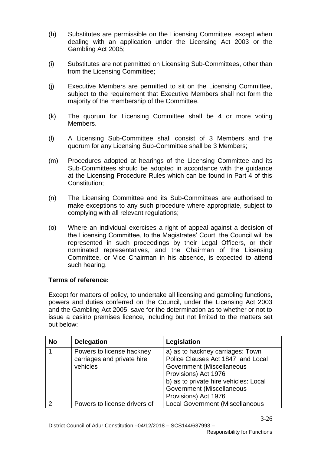- (h) Substitutes are permissible on the Licensing Committee, except when dealing with an application under the Licensing Act 2003 or the Gambling Act 2005;
- (i) Substitutes are not permitted on Licensing Sub-Committees, other than from the Licensing Committee;
- (j) Executive Members are permitted to sit on the Licensing Committee, subject to the requirement that Executive Members shall not form the majority of the membership of the Committee.
- (k) The quorum for Licensing Committee shall be 4 or more voting Members.
- (l) A Licensing Sub-Committee shall consist of 3 Members and the quorum for any Licensing Sub-Committee shall be 3 Members;
- (m) Procedures adopted at hearings of the Licensing Committee and its Sub-Committees should be adopted in accordance with the guidance at the Licensing Procedure Rules which can be found in Part 4 of this Constitution;
- (n) The Licensing Committee and its Sub-Committees are authorised to make exceptions to any such procedure where appropriate, subject to complying with all relevant regulations;
- (o) Where an individual exercises a right of appeal against a decision of the Licensing Committee, to the Magistrates' Court, the Council will be represented in such proceedings by their Legal Officers, or their nominated representatives, and the Chairman of the Licensing Committee, or Vice Chairman in his absence, is expected to attend such hearing.

## **Terms of reference:**

Except for matters of policy, to undertake all licensing and gambling functions, powers and duties conferred on the Council, under the Licensing Act 2003 and the Gambling Act 2005, save for the determination as to whether or not to issue a casino premises licence, including but not limited to the matters set out below:

| <b>No</b> | <b>Delegation</b>                                                   | Legislation                                                                                                                                                                                                              |
|-----------|---------------------------------------------------------------------|--------------------------------------------------------------------------------------------------------------------------------------------------------------------------------------------------------------------------|
|           | Powers to license hackney<br>carriages and private hire<br>vehicles | a) as to hackney carriages: Town<br>Police Clauses Act 1847 and Local<br>Government (Miscellaneous<br>Provisions) Act 1976<br>b) as to private hire vehicles: Local<br>Government (Miscellaneous<br>Provisions) Act 1976 |
|           | Powers to license drivers of                                        | <b>Local Government (Miscellaneous</b>                                                                                                                                                                                   |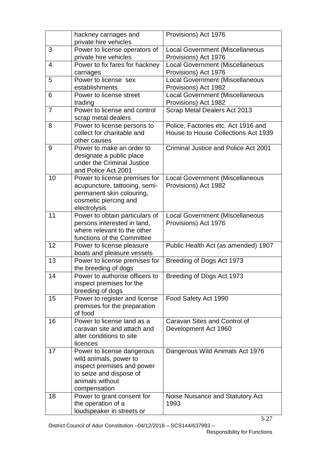|                | hackney carriages and<br>private hire vehicles                                                                                                   | Provisions) Act 1976                                                       |
|----------------|--------------------------------------------------------------------------------------------------------------------------------------------------|----------------------------------------------------------------------------|
| 3              | Power to license operators of<br>private hire vehicles                                                                                           | <b>Local Government (Miscellaneous</b><br>Provisions) Act 1976             |
| 4.             | Power to fix fares for hackney<br>carriages                                                                                                      | <b>Local Government (Miscellaneous</b><br>Provisions) Act 1976             |
| 5              | Power to license sex<br>establishments                                                                                                           | <b>Local Government (Miscellaneous</b><br>Provisions) Act 1982             |
| 6              | Power to license street<br>trading                                                                                                               | <b>Local Government (Miscellaneous</b><br>Provisions) Act 1982             |
| $\overline{7}$ | Power to license and control<br>scrap metal dealers                                                                                              | Scrap Metal Dealers Act 2013                                               |
| 8              | Power to license persons to<br>collect for charitable and<br>other causes                                                                        | Police, Factories etc. Act 1916 and<br>House to House Collections Act 1939 |
| 9              | Power to make an order to<br>designate a public place<br>under the Criminal Justice<br>and Police Act 2001                                       | Criminal Justice and Police Act 2001                                       |
| 10             | Power to license premises for<br>acupuncture, tattooing, semi-<br>permanent skin colouring,<br>cosmetic piercing and<br>electrolysis             | <b>Local Government (Miscellaneous</b><br>Provisions) Act 1982             |
| 11             | Power to obtain particulars of<br>persons interested in land,<br>where relevant to the other<br>functions of the Committee                       | <b>Local Government (Miscellaneous</b><br>Provisions) Act 1976             |
| 12             | Power to license pleasure<br>boats and pleasure vessels                                                                                          | Public Health Act (as amended) 1907                                        |
| 13             | Power to license premises for<br>the breeding of dogs                                                                                            | Breeding of Dogs Act 1973                                                  |
| 14             | Power to authorise officers to<br>inspect premises for the<br>breeding of dogs                                                                   | Breeding of Dogs Act 1973                                                  |
| 15             | Power to register and license<br>premises for the preparation<br>of food                                                                         | Food Safety Act 1990                                                       |
| 16             | Power to license land as a<br>caravan site and attach and<br>alter conditions to site<br>licences                                                | Caravan Sites and Control of<br>Development Act 1960                       |
| 17             | Power to license dangerous<br>wild animals, power to<br>inspect premises and power<br>to seize and dispose of<br>animals without<br>compensation | Dangerous Wild Animals Act 1976                                            |
| 18             | Power to grant consent for<br>the operation of a<br>loudspeaker in streets or                                                                    | Noise Nuisance and Statutory Act<br>1993                                   |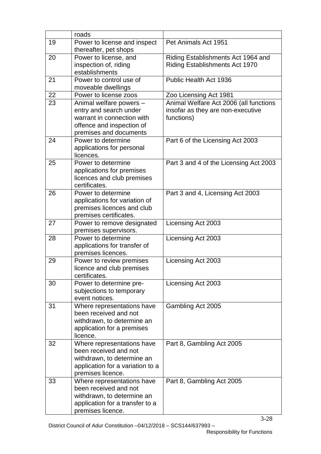|    | roads                                               |                                        |
|----|-----------------------------------------------------|----------------------------------------|
| 19 | Power to license and inspect                        | Pet Animals Act 1951                   |
|    | thereafter, pet shops                               |                                        |
| 20 | Power to license, and                               | Riding Establishments Act 1964 and     |
|    | inspection of, riding                               | <b>Riding Establishments Act 1970</b>  |
|    | establishments                                      |                                        |
| 21 | Power to control use of                             | Public Health Act 1936                 |
|    | moveable dwellings                                  |                                        |
| 22 | Power to license zoos                               | Zoo Licensing Act 1981                 |
| 23 | Animal welfare powers -                             | Animal Welfare Act 2006 (all functions |
|    | entry and search under                              | insofar as they are non-executive      |
|    | warrant in connection with                          | functions)                             |
|    | offence and inspection of                           |                                        |
|    | premises and documents                              |                                        |
| 24 | Power to determine                                  | Part 6 of the Licensing Act 2003       |
|    | applications for personal                           |                                        |
|    | licences.                                           |                                        |
| 25 | Power to determine                                  | Part 3 and 4 of the Licensing Act 2003 |
|    | applications for premises                           |                                        |
|    | licences and club premises<br>certificates.         |                                        |
| 26 | Power to determine                                  | Part 3 and 4, Licensing Act 2003       |
|    | applications for variation of                       |                                        |
|    | premises licences and club                          |                                        |
|    | premises certificates.                              |                                        |
| 27 | Power to remove designated                          | Licensing Act 2003                     |
|    | premises supervisors.                               |                                        |
| 28 | Power to determine                                  | Licensing Act 2003                     |
|    | applications for transfer of                        |                                        |
|    | premises licences.                                  |                                        |
| 29 | Power to review premises                            | Licensing Act 2003                     |
|    | licence and club premises                           |                                        |
|    | certificates.                                       |                                        |
| 30 | Power to determine pre-                             | Licensing Act 2003                     |
|    | subjections to temporary                            |                                        |
|    | event notices.                                      |                                        |
| 31 | Where representations have<br>been received and not | Gambling Act 2005                      |
|    | withdrawn, to determine an                          |                                        |
|    | application for a premises                          |                                        |
|    | licence.                                            |                                        |
| 32 | Where representations have                          | Part 8, Gambling Act 2005              |
|    | been received and not                               |                                        |
|    | withdrawn, to determine an                          |                                        |
|    | application for a variation to a                    |                                        |
|    | premises licence.                                   |                                        |
| 33 | Where representations have                          | Part 8, Gambling Act 2005              |
|    | been received and not                               |                                        |
|    | withdrawn, to determine an                          |                                        |
|    | application for a transfer to a                     |                                        |
|    | premises licence.                                   |                                        |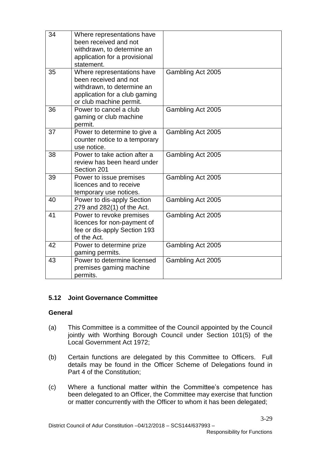| 34 | Where representations have<br>been received and not<br>withdrawn, to determine an<br>application for a provisional<br>statement.              |                   |
|----|-----------------------------------------------------------------------------------------------------------------------------------------------|-------------------|
| 35 | Where representations have<br>been received and not<br>withdrawn, to determine an<br>application for a club gaming<br>or club machine permit. | Gambling Act 2005 |
| 36 | Power to cancel a club<br>gaming or club machine<br>permit.                                                                                   | Gambling Act 2005 |
| 37 | Power to determine to give a<br>counter notice to a temporary<br>use notice.                                                                  | Gambling Act 2005 |
| 38 | Power to take action after a<br>review has been heard under<br>Section 201                                                                    | Gambling Act 2005 |
| 39 | Power to issue premises<br>licences and to receive<br>temporary use notices.                                                                  | Gambling Act 2005 |
| 40 | Power to dis-apply Section<br>279 and 282(1) of the Act.                                                                                      | Gambling Act 2005 |
| 41 | Power to revoke premises<br>licences for non-payment of<br>fee or dis-apply Section 193<br>of the Act.                                        | Gambling Act 2005 |
| 42 | Power to determine prize<br>gaming permits.                                                                                                   | Gambling Act 2005 |
| 43 | Power to determine licensed<br>premises gaming machine<br>permits.                                                                            | Gambling Act 2005 |

## **5.12 Joint Governance Committee**

#### **General**

- (a) This Committee is a committee of the Council appointed by the Council jointly with Worthing Borough Council under Section 101(5) of the Local Government Act 1972;
- (b) Certain functions are delegated by this Committee to Officers. Full details may be found in the Officer Scheme of Delegations found in Part 4 of the Constitution;
- (c) Where a functional matter within the Committee's competence has been delegated to an Officer, the Committee may exercise that function or matter concurrently with the Officer to whom it has been delegated;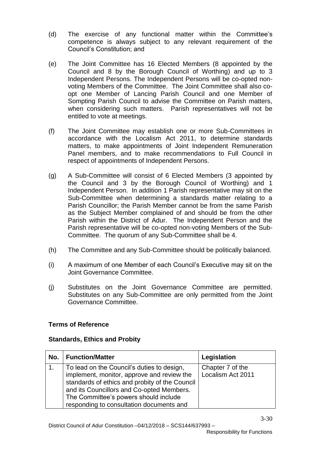- (d) The exercise of any functional matter within the Committee's competence is always subject to any relevant requirement of the Council's Constitution; and
- (e) The Joint Committee has 16 Elected Members (8 appointed by the Council and 8 by the Borough Council of Worthing) and up to 3 Independent Persons. The Independent Persons will be co-opted nonvoting Members of the Committee. The Joint Committee shall also coopt one Member of Lancing Parish Council and one Member of Sompting Parish Council to advise the Committee on Parish matters, when considering such matters. Parish representatives will not be entitled to vote at meetings.
- (f) The Joint Committee may establish one or more Sub-Committees in accordance with the Localism Act 2011, to determine standards matters, to make appointments of Joint Independent Remuneration Panel members, and to make recommendations to Full Council in respect of appointments of Independent Persons.
- (g) A Sub-Committee will consist of 6 Elected Members (3 appointed by the Council and 3 by the Borough Council of Worthing) and 1 Independent Person. In addition 1 Parish representative may sit on the Sub-Committee when determining a standards matter relating to a Parish Councillor; the Parish Member cannot be from the same Parish as the Subject Member complained of and should be from the other Parish within the District of Adur. The Independent Person and the Parish representative will be co-opted non-voting Members of the Sub-Committee. The quorum of any Sub-Committee shall be 4.
- (h) The Committee and any Sub-Committee should be politically balanced.
- (i) A maximum of one Member of each Council's Executive may sit on the Joint Governance Committee.
- (j) Substitutes on the Joint Governance Committee are permitted. Substitutes on any Sub-Committee are only permitted from the Joint Governance Committee.

#### **Terms of Reference**

#### **Standards, Ethics and Probity**

| No. | <b>Function/Matter</b>                                                                                                                                                                                                                                                       | Legislation                           |
|-----|------------------------------------------------------------------------------------------------------------------------------------------------------------------------------------------------------------------------------------------------------------------------------|---------------------------------------|
|     | To lead on the Council's duties to design,<br>implement, monitor, approve and review the<br>standards of ethics and probity of the Council<br>and its Councillors and Co-opted Members.<br>The Committee's powers should include<br>responding to consultation documents and | Chapter 7 of the<br>Localism Act 2011 |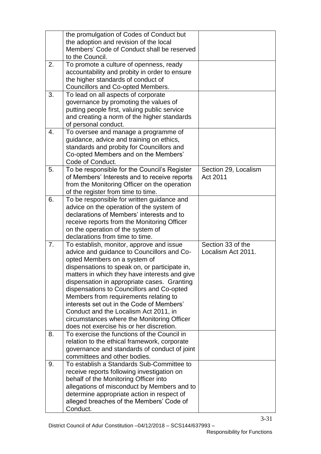|    | the promulgation of Codes of Conduct but<br>the adoption and revision of the local                                                                                                                                                                                                                                                                                                                                                                                                                                                            |                                         |
|----|-----------------------------------------------------------------------------------------------------------------------------------------------------------------------------------------------------------------------------------------------------------------------------------------------------------------------------------------------------------------------------------------------------------------------------------------------------------------------------------------------------------------------------------------------|-----------------------------------------|
|    | Members' Code of Conduct shall be reserved<br>to the Council.                                                                                                                                                                                                                                                                                                                                                                                                                                                                                 |                                         |
| 2. | To promote a culture of openness, ready<br>accountability and probity in order to ensure<br>the higher standards of conduct of<br>Councillors and Co-opted Members.                                                                                                                                                                                                                                                                                                                                                                           |                                         |
| 3. | To lead on all aspects of corporate<br>governance by promoting the values of<br>putting people first, valuing public service<br>and creating a norm of the higher standards<br>of personal conduct.                                                                                                                                                                                                                                                                                                                                           |                                         |
| 4. | To oversee and manage a programme of<br>guidance, advice and training on ethics,<br>standards and probity for Councillors and<br>Co-opted Members and on the Members'<br>Code of Conduct.                                                                                                                                                                                                                                                                                                                                                     |                                         |
| 5. | To be responsible for the Council's Register<br>of Members' Interests and to receive reports<br>from the Monitoring Officer on the operation<br>of the register from time to time.                                                                                                                                                                                                                                                                                                                                                            | Section 29, Localism<br>Act 2011        |
| 6. | To be responsible for written guidance and<br>advice on the operation of the system of<br>declarations of Members' interests and to<br>receive reports from the Monitoring Officer<br>on the operation of the system of<br>declarations from time to time.                                                                                                                                                                                                                                                                                    |                                         |
| 7. | To establish, monitor, approve and issue<br>advice and guidance to Councillors and Co-<br>opted Members on a system of<br>dispensations to speak on, or participate in,<br>matters in which they have interests and give<br>dispensation in appropriate cases. Granting<br>dispensations to Councillors and Co-opted<br>Members from requirements relating to<br>interests set out in the Code of Members'<br>Conduct and the Localism Act 2011, in<br>circumstances where the Monitoring Officer<br>does not exercise his or her discretion. | Section 33 of the<br>Localism Act 2011. |
| 8. | To exercise the functions of the Council in<br>relation to the ethical framework, corporate<br>governance and standards of conduct of joint<br>committees and other bodies.                                                                                                                                                                                                                                                                                                                                                                   |                                         |
| 9. | To establish a Standards Sub-Committee to<br>receive reports following investigation on<br>behalf of the Monitoring Officer into<br>allegations of misconduct by Members and to<br>determine appropriate action in respect of<br>alleged breaches of the Members' Code of<br>Conduct.                                                                                                                                                                                                                                                         |                                         |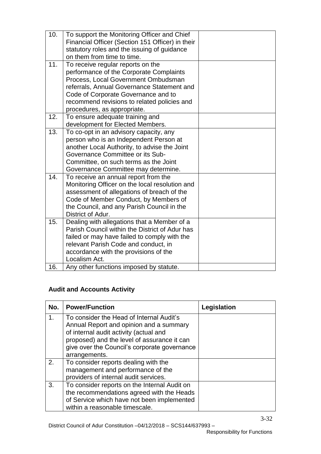| 10. | To support the Monitoring Officer and Chief      |  |
|-----|--------------------------------------------------|--|
|     | Financial Officer (Section 151 Officer) in their |  |
|     | statutory roles and the issuing of guidance      |  |
|     | on them from time to time.                       |  |
| 11. | To receive regular reports on the                |  |
|     | performance of the Corporate Complaints          |  |
|     | Process, Local Government Ombudsman              |  |
|     | referrals, Annual Governance Statement and       |  |
|     | Code of Corporate Governance and to              |  |
|     | recommend revisions to related policies and      |  |
|     | procedures, as appropriate.                      |  |
| 12. | To ensure adequate training and                  |  |
|     | development for Elected Members.                 |  |
| 13. | To co-opt in an advisory capacity, any           |  |
|     | person who is an Independent Person at           |  |
|     | another Local Authority, to advise the Joint     |  |
|     | Governance Committee or its Sub-                 |  |
|     | Committee, on such terms as the Joint            |  |
|     | Governance Committee may determine.              |  |
| 14. | To receive an annual report from the             |  |
|     | Monitoring Officer on the local resolution and   |  |
|     | assessment of allegations of breach of the       |  |
|     | Code of Member Conduct, by Members of            |  |
|     | the Council, and any Parish Council in the       |  |
|     | District of Adur.                                |  |
| 15. | Dealing with allegations that a Member of a      |  |
|     | Parish Council within the District of Adur has   |  |
|     | failed or may have failed to comply with the     |  |
|     | relevant Parish Code and conduct, in             |  |
|     | accordance with the provisions of the            |  |
|     | Localism Act.                                    |  |
| 16. | Any other functions imposed by statute.          |  |

# **Audit and Accounts Activity**

| No. | <b>Power/Function</b>                                                               | Legislation |
|-----|-------------------------------------------------------------------------------------|-------------|
| 1.  | To consider the Head of Internal Audit's<br>Annual Report and opinion and a summary |             |
|     | of internal audit activity (actual and                                              |             |
|     | proposed) and the level of assurance it can                                         |             |
|     | give over the Council's corporate governance                                        |             |
|     | arrangements.                                                                       |             |
| 2.  | To consider reports dealing with the                                                |             |
|     | management and performance of the                                                   |             |
|     | providers of internal audit services.                                               |             |
| 3.  | To consider reports on the Internal Audit on                                        |             |
|     | the recommendations agreed with the Heads                                           |             |
|     | of Service which have not been implemented                                          |             |
|     | within a reasonable timescale.                                                      |             |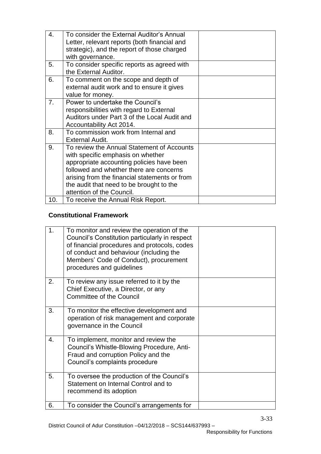| 4.  | To consider the External Auditor's Annual     |  |
|-----|-----------------------------------------------|--|
|     | Letter, relevant reports (both financial and  |  |
|     | strategic), and the report of those charged   |  |
|     | with governance.                              |  |
| 5.  | To consider specific reports as agreed with   |  |
|     | the External Auditor.                         |  |
|     |                                               |  |
| 6.  | To comment on the scope and depth of          |  |
|     | external audit work and to ensure it gives    |  |
|     | value for money.                              |  |
| 7.  | Power to undertake the Council's              |  |
|     | responsibilities with regard to External      |  |
|     | Auditors under Part 3 of the Local Audit and  |  |
|     | Accountability Act 2014.                      |  |
| 8.  | To commission work from Internal and          |  |
|     | <b>External Audit.</b>                        |  |
| 9.  | To review the Annual Statement of Accounts    |  |
|     | with specific emphasis on whether             |  |
|     | appropriate accounting policies have been     |  |
|     | followed and whether there are concerns       |  |
|     | arising from the financial statements or from |  |
|     | the audit that need to be brought to the      |  |
|     | attention of the Council.                     |  |
| 10. | To receive the Annual Risk Report.            |  |
|     |                                               |  |

# **Constitutional Framework**

| 1. | To monitor and review the operation of the<br>Council's Constitution particularly in respect<br>of financial procedures and protocols, codes<br>of conduct and behaviour (including the<br>Members' Code of Conduct), procurement<br>procedures and guidelines |  |
|----|----------------------------------------------------------------------------------------------------------------------------------------------------------------------------------------------------------------------------------------------------------------|--|
| 2. | To review any issue referred to it by the<br>Chief Executive, a Director, or any<br><b>Committee of the Council</b>                                                                                                                                            |  |
| 3. | To monitor the effective development and<br>operation of risk management and corporate<br>governance in the Council                                                                                                                                            |  |
| 4. | To implement, monitor and review the<br>Council's Whistle-Blowing Procedure, Anti-<br>Fraud and corruption Policy and the<br>Council's complaints procedure                                                                                                    |  |
| 5. | To oversee the production of the Council's<br>Statement on Internal Control and to<br>recommend its adoption                                                                                                                                                   |  |
| 6. | To consider the Council's arrangements for                                                                                                                                                                                                                     |  |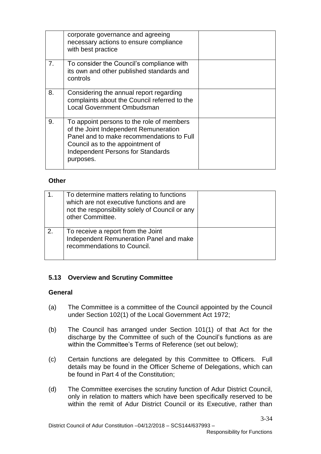|    | corporate governance and agreeing<br>necessary actions to ensure compliance<br>with best practice                                                                                                                            |  |
|----|------------------------------------------------------------------------------------------------------------------------------------------------------------------------------------------------------------------------------|--|
| 7. | To consider the Council's compliance with<br>its own and other published standards and<br>controls                                                                                                                           |  |
| 8. | Considering the annual report regarding<br>complaints about the Council referred to the<br><b>Local Government Ombudsman</b>                                                                                                 |  |
| 9. | To appoint persons to the role of members<br>of the Joint Independent Remuneration<br>Panel and to make recommendations to Full<br>Council as to the appointment of<br><b>Independent Persons for Standards</b><br>purposes. |  |

## **Other**

|    | To determine matters relating to functions<br>which are not executive functions and are<br>not the responsibility solely of Council or any<br>other Committee. |  |
|----|----------------------------------------------------------------------------------------------------------------------------------------------------------------|--|
| 2. | To receive a report from the Joint<br>Independent Remuneration Panel and make<br>recommendations to Council.                                                   |  |

## **5.13 Overview and Scrutiny Committee**

## **General**

- (a) The Committee is a committee of the Council appointed by the Council under Section 102(1) of the Local Government Act 1972;
- (b) The Council has arranged under Section 101(1) of that Act for the discharge by the Committee of such of the Council's functions as are within the Committee's Terms of Reference (set out below);
- (c) Certain functions are delegated by this Committee to Officers. Full details may be found in the Officer Scheme of Delegations, which can be found in Part 4 of the Constitution;
- (d) The Committee exercises the scrutiny function of Adur District Council, only in relation to matters which have been specifically reserved to be within the remit of Adur District Council or its Executive, rather than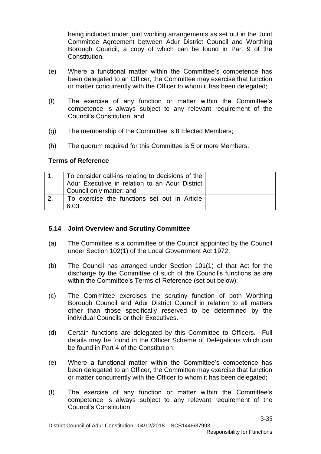being included under joint working arrangements as set out in the Joint Committee Agreement between Adur District Council and Worthing Borough Council, a copy of which can be found in Part 9 of the Constitution.

- (e) Where a functional matter within the Committee's competence has been delegated to an Officer, the Committee may exercise that function or matter concurrently with the Officer to whom it has been delegated;
- (f) The exercise of any function or matter within the Committee's competence is always subject to any relevant requirement of the Council's Constitution; and
- (g) The membership of the Committee is 8 Elected Members;
- (h) The quorum required for this Committee is 5 or more Members.

#### **Terms of Reference**

| $\overline{1}$   | To consider call-ins relating to decisions of the |  |
|------------------|---------------------------------------------------|--|
|                  | Adur Executive in relation to an Adur District    |  |
|                  | Council only matter; and                          |  |
| $\overline{2}$ . | To exercise the functions set out in Article      |  |
|                  | 6.03.                                             |  |

#### **5.14 Joint Overview and Scrutiny Committee**

- (a) The Committee is a committee of the Council appointed by the Council under Section 102(1) of the Local Government Act 1972;
- (b) The Council has arranged under Section 101(1) of that Act for the discharge by the Committee of such of the Council's functions as are within the Committee's Terms of Reference (set out below);
- (c) The Committee exercises the scrutiny function of both Worthing Borough Council and Adur District Council in relation to all matters other than those specifically reserved to be determined by the individual Councils or their Executives.
- (d) Certain functions are delegated by this Committee to Officers. Full details may be found in the Officer Scheme of Delegations which can be found in Part 4 of the Constitution;
- (e) Where a functional matter within the Committee's competence has been delegated to an Officer, the Committee may exercise that function or matter concurrently with the Officer to whom it has been delegated;
- (f) The exercise of any function or matter within the Committee's competence is always subject to any relevant requirement of the Council's Constitution;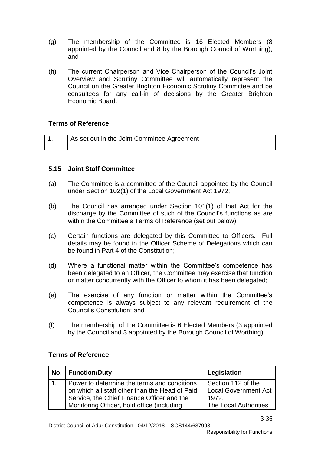- (g) The membership of the Committee is 16 Elected Members (8 appointed by the Council and 8 by the Borough Council of Worthing); and
- (h) The current Chairperson and Vice Chairperson of the Council's Joint Overview and Scrutiny Committee will automatically represent the Council on the Greater Brighton Economic Scrutiny Committee and be consultees for any call-in of decisions by the Greater Brighton Economic Board.

## **Terms of Reference**

| As set out in the Joint Committee Agreement |  |
|---------------------------------------------|--|
|                                             |  |

#### **5.15 Joint Staff Committee**

- (a) The Committee is a committee of the Council appointed by the Council under Section 102(1) of the Local Government Act 1972;
- (b) The Council has arranged under Section 101(1) of that Act for the discharge by the Committee of such of the Council's functions as are within the Committee's Terms of Reference (set out below);
- (c) Certain functions are delegated by this Committee to Officers. Full details may be found in the Officer Scheme of Delegations which can be found in Part 4 of the Constitution;
- (d) Where a functional matter within the Committee's competence has been delegated to an Officer, the Committee may exercise that function or matter concurrently with the Officer to whom it has been delegated;
- (e) The exercise of any function or matter within the Committee's competence is always subject to any relevant requirement of the Council's Constitution; and
- (f) The membership of the Committee is 6 Elected Members (3 appointed by the Council and 3 appointed by the Borough Council of Worthing).

| No.   Function/Duty                            | Legislation                 |
|------------------------------------------------|-----------------------------|
| Power to determine the terms and conditions    | Section 112 of the          |
| on which all staff other than the Head of Paid | <b>Local Government Act</b> |
| Service, the Chief Finance Officer and the     | 1972.                       |
| Monitoring Officer, hold office (including     | The Local Authorities       |

## **Terms of Reference**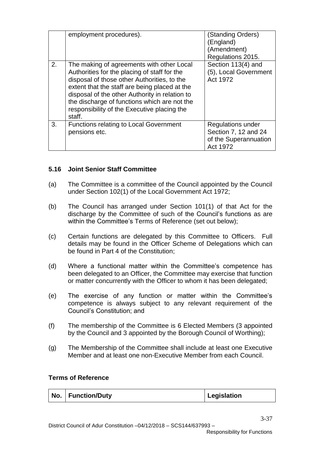|    | employment procedures).                                                                                                                                                                                                                                                                                                                              | (Standing Orders)<br>(England)<br>(Amendment)<br>Regulations 2015.             |
|----|------------------------------------------------------------------------------------------------------------------------------------------------------------------------------------------------------------------------------------------------------------------------------------------------------------------------------------------------------|--------------------------------------------------------------------------------|
| 2. | The making of agreements with other Local<br>Authorities for the placing of staff for the<br>disposal of those other Authorities, to the<br>extent that the staff are being placed at the<br>disposal of the other Authority in relation to<br>the discharge of functions which are not the<br>responsibility of the Executive placing the<br>staff. | Section 113(4) and<br>(5), Local Government<br>Act 1972                        |
| 3. | <b>Functions relating to Local Government</b><br>pensions etc.                                                                                                                                                                                                                                                                                       | Regulations under<br>Section 7, 12 and 24<br>of the Superannuation<br>Act 1972 |

## **5.16 Joint Senior Staff Committee**

- (a) The Committee is a committee of the Council appointed by the Council under Section 102(1) of the Local Government Act 1972;
- (b) The Council has arranged under Section 101(1) of that Act for the discharge by the Committee of such of the Council's functions as are within the Committee's Terms of Reference (set out below);
- (c) Certain functions are delegated by this Committee to Officers. Full details may be found in the Officer Scheme of Delegations which can be found in Part 4 of the Constitution;
- (d) Where a functional matter within the Committee's competence has been delegated to an Officer, the Committee may exercise that function or matter concurrently with the Officer to whom it has been delegated;
- (e) The exercise of any function or matter within the Committee's competence is always subject to any relevant requirement of the Council's Constitution; and
- (f) The membership of the Committee is 6 Elected Members (3 appointed by the Council and 3 appointed by the Borough Council of Worthing);
- (g) The Membership of the Committee shall include at least one Executive Member and at least one non-Executive Member from each Council.

#### **Terms of Reference**

|  | No.   Function/Duty | Legislation |
|--|---------------------|-------------|
|--|---------------------|-------------|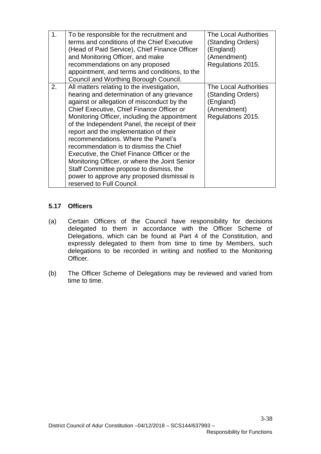| 1. | To be responsible for the recruitment and<br>terms and conditions of the Chief Executive<br>(Head of Paid Service), Chief Finance Officer<br>and Monitoring Officer, and make<br>recommendations on any proposed<br>appointment, and terms and conditions, to the<br>Council and Worthing Borough Council.                                                                                                                                                                                                                                                                                                                             | The Local Authorities<br>(Standing Orders)<br>(England)<br>(Amendment)<br>Regulations 2015. |
|----|----------------------------------------------------------------------------------------------------------------------------------------------------------------------------------------------------------------------------------------------------------------------------------------------------------------------------------------------------------------------------------------------------------------------------------------------------------------------------------------------------------------------------------------------------------------------------------------------------------------------------------------|---------------------------------------------------------------------------------------------|
| 2. | All matters relating to the investigation,<br>hearing and determination of any grievance<br>against or allegation of misconduct by the<br>Chief Executive, Chief Finance Officer or<br>Monitoring Officer, including the appointment<br>of the Independent Panel, the receipt of their<br>report and the implementation of their<br>recommendations. Where the Panel's<br>recommendation is to dismiss the Chief<br>Executive, the Chief Finance Officer or the<br>Monitoring Officer, or where the Joint Senior<br>Staff Committee propose to dismiss, the<br>power to approve any proposed dismissal is<br>reserved to Full Council. | The Local Authorities<br>(Standing Orders)<br>(England)<br>(Amendment)<br>Regulations 2015. |

## **5.17 Officers**

- (a) Certain Officers of the Council have responsibility for decisions delegated to them in accordance with the Officer Scheme of Delegations, which can be found at Part 4 of the Constitution, and expressly delegated to them from time to time by Members, such delegations to be recorded in writing and notified to the Monitoring Officer.
- (b) The Officer Scheme of Delegations may be reviewed and varied from time to time.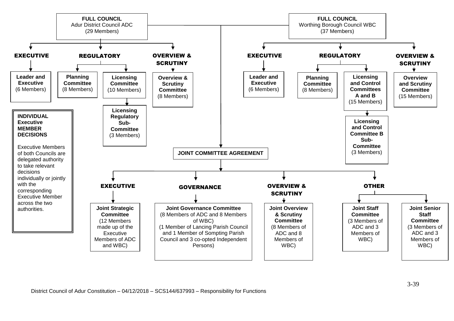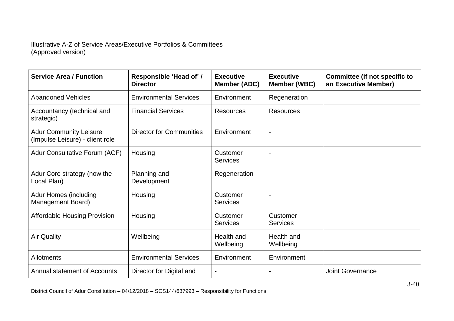#### Illustrative A-Z of Service Areas/Executive Portfolios & Committees (Approved version)

| <b>Service Area / Function</b>                                   | Responsible 'Head of' /<br><b>Director</b> | <b>Executive</b><br>Member (ADC) | <b>Executive</b><br>Member (WBC) | <b>Committee (if not specific to</b><br>an Executive Member) |
|------------------------------------------------------------------|--------------------------------------------|----------------------------------|----------------------------------|--------------------------------------------------------------|
| <b>Abandoned Vehicles</b>                                        | <b>Environmental Services</b>              | Environment                      | Regeneration                     |                                                              |
| Accountancy (technical and<br>strategic)                         | <b>Financial Services</b>                  | <b>Resources</b>                 | <b>Resources</b>                 |                                                              |
| <b>Adur Community Leisure</b><br>(Impulse Leisure) - client role | <b>Director for Communities</b>            | Environment                      |                                  |                                                              |
| <b>Adur Consultative Forum (ACF)</b>                             | Housing                                    | Customer<br><b>Services</b>      |                                  |                                                              |
| Adur Core strategy (now the<br>Local Plan)                       | Planning and<br>Development                | Regeneration                     |                                  |                                                              |
| <b>Adur Homes (including</b><br>Management Board)                | Housing                                    | Customer<br><b>Services</b>      |                                  |                                                              |
| <b>Affordable Housing Provision</b>                              | Housing                                    | Customer<br><b>Services</b>      | Customer<br><b>Services</b>      |                                                              |
| <b>Air Quality</b>                                               | Wellbeing                                  | Health and<br>Wellbeing          | Health and<br>Wellbeing          |                                                              |
| Allotments                                                       | <b>Environmental Services</b>              | Environment                      | Environment                      |                                                              |
| <b>Annual statement of Accounts</b>                              | Director for Digital and                   |                                  |                                  | <b>Joint Governance</b>                                      |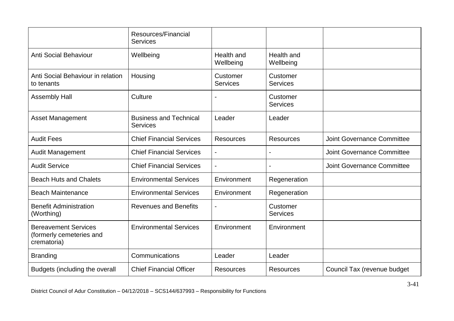|                                                                        | Resources/Financial<br><b>Services</b>           |                             |                             |                                   |
|------------------------------------------------------------------------|--------------------------------------------------|-----------------------------|-----------------------------|-----------------------------------|
| <b>Anti Social Behaviour</b>                                           | Wellbeing                                        | Health and<br>Wellbeing     | Health and<br>Wellbeing     |                                   |
| Anti Social Behaviour in relation<br>to tenants                        | Housing                                          | Customer<br><b>Services</b> | Customer<br><b>Services</b> |                                   |
| <b>Assembly Hall</b>                                                   | Culture                                          |                             | Customer<br><b>Services</b> |                                   |
| <b>Asset Management</b>                                                | <b>Business and Technical</b><br><b>Services</b> | Leader                      | Leader                      |                                   |
| <b>Audit Fees</b>                                                      | <b>Chief Financial Services</b>                  | <b>Resources</b>            | <b>Resources</b>            | <b>Joint Governance Committee</b> |
| <b>Audit Management</b>                                                | <b>Chief Financial Services</b>                  |                             |                             | <b>Joint Governance Committee</b> |
| <b>Audit Service</b>                                                   | <b>Chief Financial Services</b>                  | $\blacksquare$              |                             | <b>Joint Governance Committee</b> |
| <b>Beach Huts and Chalets</b>                                          | <b>Environmental Services</b>                    | Environment                 | Regeneration                |                                   |
| <b>Beach Maintenance</b>                                               | <b>Environmental Services</b>                    | Environment                 | Regeneration                |                                   |
| <b>Benefit Administration</b><br>(Worthing)                            | <b>Revenues and Benefits</b>                     |                             | Customer<br><b>Services</b> |                                   |
| <b>Bereavement Services</b><br>(formerly cemeteries and<br>crematoria) | <b>Environmental Services</b>                    | Environment                 | Environment                 |                                   |
| <b>Branding</b>                                                        | Communications                                   | Leader                      | Leader                      |                                   |
| Budgets (including the overall                                         | <b>Chief Financial Officer</b>                   | <b>Resources</b>            | <b>Resources</b>            | Council Tax (revenue budget       |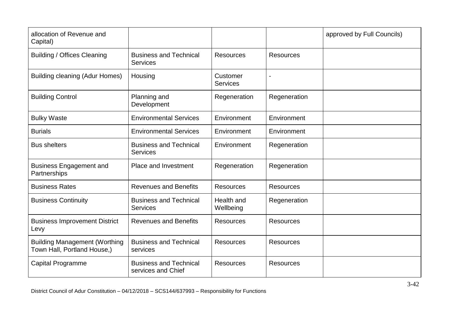| allocation of Revenue and<br>Capital)                               |                                                     |                             |                  | approved by Full Councils) |
|---------------------------------------------------------------------|-----------------------------------------------------|-----------------------------|------------------|----------------------------|
| <b>Building / Offices Cleaning</b>                                  | <b>Business and Technical</b><br><b>Services</b>    | <b>Resources</b>            | <b>Resources</b> |                            |
| <b>Building cleaning (Adur Homes)</b>                               | Housing                                             | Customer<br><b>Services</b> |                  |                            |
| <b>Building Control</b>                                             | Planning and<br>Development                         | Regeneration                | Regeneration     |                            |
| <b>Bulky Waste</b>                                                  | <b>Environmental Services</b>                       | Environment                 | Environment      |                            |
| <b>Burials</b>                                                      | <b>Environmental Services</b>                       | Environment                 | Environment      |                            |
| <b>Bus shelters</b>                                                 | <b>Business and Technical</b><br><b>Services</b>    | Environment                 | Regeneration     |                            |
| <b>Business Engagement and</b><br>Partnerships                      | Place and Investment                                | Regeneration                | Regeneration     |                            |
| <b>Business Rates</b>                                               | <b>Revenues and Benefits</b>                        | <b>Resources</b>            | <b>Resources</b> |                            |
| <b>Business Continuity</b>                                          | <b>Business and Technical</b><br><b>Services</b>    | Health and<br>Wellbeing     | Regeneration     |                            |
| <b>Business Improvement District</b><br>Levy                        | <b>Revenues and Benefits</b>                        | <b>Resources</b>            | <b>Resources</b> |                            |
| <b>Building Management (Worthing</b><br>Town Hall, Portland House,) | <b>Business and Technical</b><br>services           | <b>Resources</b>            | <b>Resources</b> |                            |
| <b>Capital Programme</b>                                            | <b>Business and Technical</b><br>services and Chief | <b>Resources</b>            | <b>Resources</b> |                            |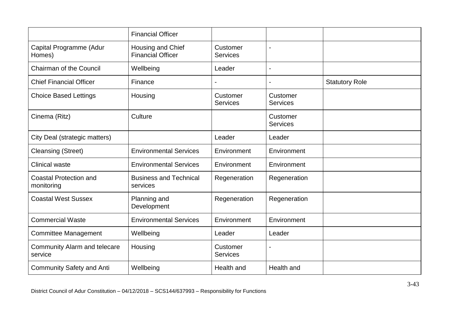|                                                | <b>Financial Officer</b>                      |                             |                             |                       |
|------------------------------------------------|-----------------------------------------------|-----------------------------|-----------------------------|-----------------------|
| Capital Programme (Adur<br>Homes)              | Housing and Chief<br><b>Financial Officer</b> | Customer<br><b>Services</b> | $\blacksquare$              |                       |
| <b>Chairman of the Council</b>                 | Wellbeing                                     | Leader                      | $\blacksquare$              |                       |
| <b>Chief Financial Officer</b>                 | Finance                                       |                             |                             | <b>Statutory Role</b> |
| <b>Choice Based Lettings</b>                   | Housing                                       | Customer<br><b>Services</b> | Customer<br><b>Services</b> |                       |
| Cinema (Ritz)                                  | Culture                                       |                             | Customer<br><b>Services</b> |                       |
| City Deal (strategic matters)                  |                                               | Leader                      | Leader                      |                       |
| <b>Cleansing (Street)</b>                      | <b>Environmental Services</b>                 | Environment                 | Environment                 |                       |
| <b>Clinical waste</b>                          | <b>Environmental Services</b>                 | Environment                 | Environment                 |                       |
| <b>Coastal Protection and</b><br>monitoring    | <b>Business and Technical</b><br>services     | Regeneration                | Regeneration                |                       |
| <b>Coastal West Sussex</b>                     | Planning and<br>Development                   | Regeneration                | Regeneration                |                       |
| <b>Commercial Waste</b>                        | <b>Environmental Services</b>                 | Environment                 | Environment                 |                       |
| <b>Committee Management</b>                    | Wellbeing                                     | Leader                      | Leader                      |                       |
| <b>Community Alarm and telecare</b><br>service | Housing                                       | Customer<br><b>Services</b> |                             |                       |
| <b>Community Safety and Anti</b>               | Wellbeing                                     | Health and                  | Health and                  |                       |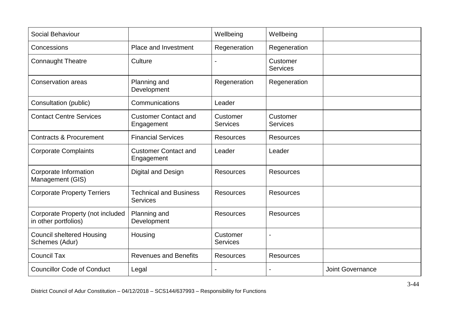| Social Behaviour                                         |                                                  | Wellbeing                   | Wellbeing                   |                         |
|----------------------------------------------------------|--------------------------------------------------|-----------------------------|-----------------------------|-------------------------|
| Concessions                                              | Place and Investment                             | Regeneration                | Regeneration                |                         |
| <b>Connaught Theatre</b>                                 | Culture                                          | $\overline{\phantom{0}}$    | Customer<br><b>Services</b> |                         |
| <b>Conservation areas</b>                                | Planning and<br>Development                      | Regeneration                | Regeneration                |                         |
| Consultation (public)                                    | Communications                                   | Leader                      |                             |                         |
| <b>Contact Centre Services</b>                           | <b>Customer Contact and</b><br>Engagement        | Customer<br><b>Services</b> | Customer<br><b>Services</b> |                         |
| <b>Contracts &amp; Procurement</b>                       | <b>Financial Services</b>                        | <b>Resources</b>            | <b>Resources</b>            |                         |
| <b>Corporate Complaints</b>                              | <b>Customer Contact and</b><br>Engagement        | Leader                      | Leader                      |                         |
| Corporate Information<br>Management (GIS)                | Digital and Design                               | <b>Resources</b>            | <b>Resources</b>            |                         |
| <b>Corporate Property Terriers</b>                       | <b>Technical and Business</b><br><b>Services</b> | <b>Resources</b>            | <b>Resources</b>            |                         |
| Corporate Property (not included<br>in other portfolios) | Planning and<br>Development                      | <b>Resources</b>            | <b>Resources</b>            |                         |
| <b>Council sheltered Housing</b><br>Schemes (Adur)       | Housing                                          | Customer<br><b>Services</b> |                             |                         |
| <b>Council Tax</b>                                       | <b>Revenues and Benefits</b>                     | <b>Resources</b>            | <b>Resources</b>            |                         |
| <b>Councillor Code of Conduct</b>                        | Legal                                            |                             |                             | <b>Joint Governance</b> |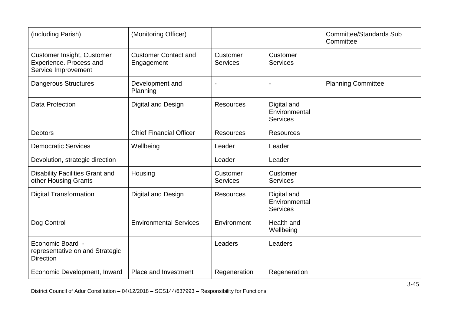| (including Parish)                                                                  | (Monitoring Officer)                      |                             |                                                 | <b>Committee/Standards Sub</b><br>Committee |
|-------------------------------------------------------------------------------------|-------------------------------------------|-----------------------------|-------------------------------------------------|---------------------------------------------|
| <b>Customer Insight, Customer</b><br>Experience. Process and<br>Service Improvement | <b>Customer Contact and</b><br>Engagement | Customer<br><b>Services</b> | Customer<br><b>Services</b>                     |                                             |
| <b>Dangerous Structures</b>                                                         | Development and<br>Planning               | $\blacksquare$              |                                                 | <b>Planning Committee</b>                   |
| <b>Data Protection</b>                                                              | Digital and Design                        | <b>Resources</b>            | Digital and<br>Environmental<br><b>Services</b> |                                             |
| <b>Debtors</b>                                                                      | <b>Chief Financial Officer</b>            | <b>Resources</b>            | <b>Resources</b>                                |                                             |
| <b>Democratic Services</b>                                                          | Wellbeing                                 | Leader                      | Leader                                          |                                             |
| Devolution, strategic direction                                                     |                                           | Leader                      | Leader                                          |                                             |
| <b>Disability Facilities Grant and</b><br>other Housing Grants                      | Housing                                   | Customer<br><b>Services</b> | Customer<br><b>Services</b>                     |                                             |
| <b>Digital Transformation</b>                                                       | Digital and Design                        | <b>Resources</b>            | Digital and<br>Environmental<br><b>Services</b> |                                             |
| Dog Control                                                                         | <b>Environmental Services</b>             | Environment                 | Health and<br>Wellbeing                         |                                             |
| Economic Board -<br>representative on and Strategic<br><b>Direction</b>             |                                           | Leaders                     | Leaders                                         |                                             |
| Economic Development, Inward                                                        | Place and Investment                      | Regeneration                | Regeneration                                    |                                             |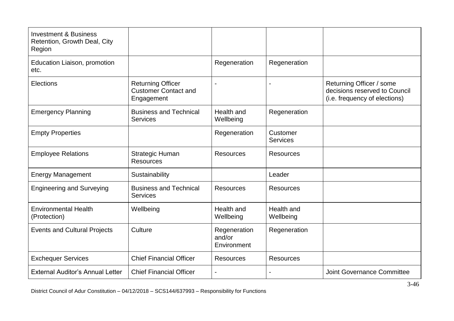| <b>Investment &amp; Business</b><br>Retention, Growth Deal, City<br>Region |                                                                       |                                       |                             |                                                                                            |
|----------------------------------------------------------------------------|-----------------------------------------------------------------------|---------------------------------------|-----------------------------|--------------------------------------------------------------------------------------------|
| Education Liaison, promotion<br>etc.                                       |                                                                       | Regeneration                          | Regeneration                |                                                                                            |
| Elections                                                                  | <b>Returning Officer</b><br><b>Customer Contact and</b><br>Engagement |                                       |                             | Returning Officer / some<br>decisions reserved to Council<br>(i.e. frequency of elections) |
| <b>Emergency Planning</b>                                                  | <b>Business and Technical</b><br><b>Services</b>                      | Health and<br>Wellbeing               | Regeneration                |                                                                                            |
| <b>Empty Properties</b>                                                    |                                                                       | Regeneration                          | Customer<br><b>Services</b> |                                                                                            |
| <b>Employee Relations</b>                                                  | <b>Strategic Human</b><br><b>Resources</b>                            | <b>Resources</b>                      | <b>Resources</b>            |                                                                                            |
| <b>Energy Management</b>                                                   | Sustainability                                                        |                                       | Leader                      |                                                                                            |
| <b>Engineering and Surveying</b>                                           | <b>Business and Technical</b><br><b>Services</b>                      | <b>Resources</b>                      | <b>Resources</b>            |                                                                                            |
| <b>Environmental Health</b><br>(Protection)                                | Wellbeing                                                             | Health and<br>Wellbeing               | Health and<br>Wellbeing     |                                                                                            |
| <b>Events and Cultural Projects</b>                                        | Culture                                                               | Regeneration<br>and/or<br>Environment | Regeneration                |                                                                                            |
| <b>Exchequer Services</b>                                                  | <b>Chief Financial Officer</b>                                        | <b>Resources</b>                      | <b>Resources</b>            |                                                                                            |
| <b>External Auditor's Annual Letter</b>                                    | <b>Chief Financial Officer</b>                                        |                                       |                             | <b>Joint Governance Committee</b>                                                          |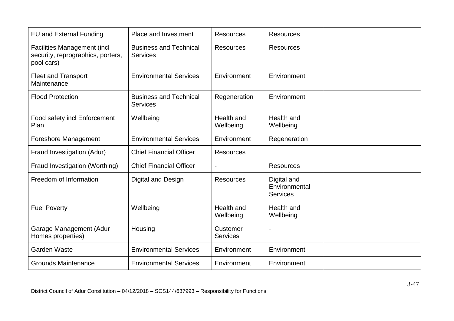| <b>EU and External Funding</b>                                                        | Place and Investment                             | <b>Resources</b>            | <b>Resources</b>                                |  |
|---------------------------------------------------------------------------------------|--------------------------------------------------|-----------------------------|-------------------------------------------------|--|
| <b>Facilities Management (incl</b><br>security, reprographics, porters,<br>pool cars) | <b>Business and Technical</b><br>Services        | <b>Resources</b>            | <b>Resources</b>                                |  |
| <b>Fleet and Transport</b><br>Maintenance                                             | <b>Environmental Services</b>                    | Environment                 | Environment                                     |  |
| <b>Flood Protection</b>                                                               | <b>Business and Technical</b><br><b>Services</b> | Regeneration                | Environment                                     |  |
| Food safety incl Enforcement<br>Plan                                                  | Wellbeing                                        | Health and<br>Wellbeing     | Health and<br>Wellbeing                         |  |
| <b>Foreshore Management</b>                                                           | <b>Environmental Services</b>                    | Environment                 | Regeneration                                    |  |
| Fraud Investigation (Adur)                                                            | <b>Chief Financial Officer</b>                   | <b>Resources</b>            |                                                 |  |
| Fraud Investigation (Worthing)                                                        | <b>Chief Financial Officer</b>                   |                             | <b>Resources</b>                                |  |
| Freedom of Information                                                                | <b>Digital and Design</b>                        | <b>Resources</b>            | Digital and<br>Environmental<br><b>Services</b> |  |
| <b>Fuel Poverty</b>                                                                   | Wellbeing                                        | Health and<br>Wellbeing     | Health and<br>Wellbeing                         |  |
| Garage Management (Adur<br>Homes properties)                                          | Housing                                          | Customer<br><b>Services</b> |                                                 |  |
| <b>Garden Waste</b>                                                                   | <b>Environmental Services</b>                    | Environment                 | Environment                                     |  |
| <b>Grounds Maintenance</b>                                                            | <b>Environmental Services</b>                    | Environment                 | Environment                                     |  |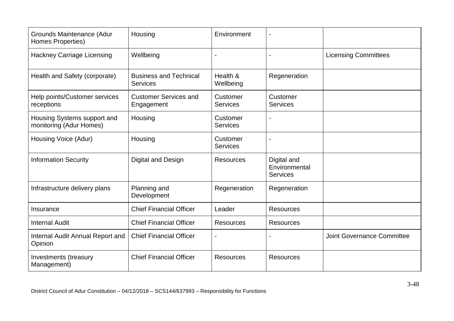| Grounds Maintenance (Adur<br>Homes Properties)         | Housing                                          | Environment                 |                                                 |                                   |
|--------------------------------------------------------|--------------------------------------------------|-----------------------------|-------------------------------------------------|-----------------------------------|
| <b>Hackney Carriage Licensing</b>                      | Wellbeing                                        |                             |                                                 | <b>Licensing Committees</b>       |
| Health and Safety (corporate)                          | <b>Business and Technical</b><br><b>Services</b> | Health &<br>Wellbeing       | Regeneration                                    |                                   |
| Help points/Customer services<br>receptions            | <b>Customer Services and</b><br>Engagement       | Customer<br><b>Services</b> | Customer<br><b>Services</b>                     |                                   |
| Housing Systems support and<br>monitoring (Adur Homes) | Housing                                          | Customer<br><b>Services</b> |                                                 |                                   |
| Housing Voice (Adur)                                   | Housing                                          | Customer<br><b>Services</b> |                                                 |                                   |
| <b>Information Security</b>                            | Digital and Design                               | <b>Resources</b>            | Digital and<br>Environmental<br><b>Services</b> |                                   |
| Infrastructure delivery plans                          | Planning and<br>Development                      | Regeneration                | Regeneration                                    |                                   |
| Insurance                                              | <b>Chief Financial Officer</b>                   | Leader                      | <b>Resources</b>                                |                                   |
| <b>Internal Audit</b>                                  | <b>Chief Financial Officer</b>                   | <b>Resources</b>            | <b>Resources</b>                                |                                   |
| Internal Audit Annual Report and<br>Opinion            | <b>Chief Financial Officer</b>                   |                             |                                                 | <b>Joint Governance Committee</b> |
| Investments (treasury<br>Management)                   | <b>Chief Financial Officer</b>                   | <b>Resources</b>            | <b>Resources</b>                                |                                   |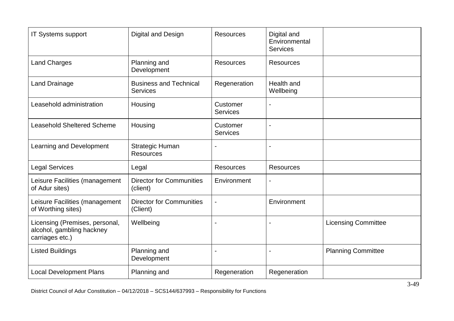| <b>IT Systems support</b>                                                      | Digital and Design                               | <b>Resources</b>            | Digital and<br>Environmental<br><b>Services</b> |                            |
|--------------------------------------------------------------------------------|--------------------------------------------------|-----------------------------|-------------------------------------------------|----------------------------|
| <b>Land Charges</b>                                                            | Planning and<br>Development                      | <b>Resources</b>            | <b>Resources</b>                                |                            |
| <b>Land Drainage</b>                                                           | <b>Business and Technical</b><br><b>Services</b> | Regeneration                | Health and<br>Wellbeing                         |                            |
| Leasehold administration                                                       | Housing                                          | Customer<br><b>Services</b> |                                                 |                            |
| <b>Leasehold Sheltered Scheme</b>                                              | Housing                                          | Customer<br><b>Services</b> |                                                 |                            |
| Learning and Development                                                       | <b>Strategic Human</b><br><b>Resources</b>       |                             |                                                 |                            |
| <b>Legal Services</b>                                                          | Legal                                            | <b>Resources</b>            | <b>Resources</b>                                |                            |
| Leisure Facilities (management<br>of Adur sites)                               | <b>Director for Communities</b><br>(client)      | Environment                 |                                                 |                            |
| Leisure Facilities (management<br>of Worthing sites)                           | <b>Director for Communities</b><br>(Client)      |                             | Environment                                     |                            |
| Licensing (Premises, personal,<br>alcohol, gambling hackney<br>carriages etc.) | Wellbeing                                        | $\overline{\phantom{a}}$    |                                                 | <b>Licensing Committee</b> |
| <b>Listed Buildings</b>                                                        | Planning and<br>Development                      | $\overline{\phantom{a}}$    |                                                 | <b>Planning Committee</b>  |
| <b>Local Development Plans</b>                                                 | Planning and                                     | Regeneration                | Regeneration                                    |                            |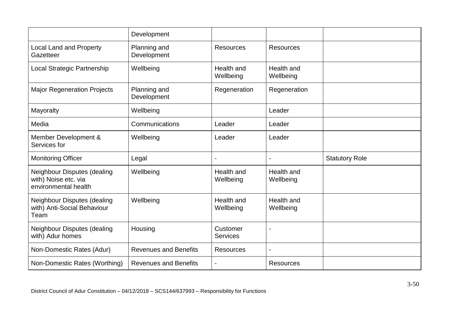|                                                                             | Development                  |                             |                         |                       |
|-----------------------------------------------------------------------------|------------------------------|-----------------------------|-------------------------|-----------------------|
| <b>Local Land and Property</b><br>Gazetteer                                 | Planning and<br>Development  | <b>Resources</b>            | <b>Resources</b>        |                       |
| Local Strategic Partnership                                                 | Wellbeing                    | Health and<br>Wellbeing     | Health and<br>Wellbeing |                       |
| <b>Major Regeneration Projects</b>                                          | Planning and<br>Development  | Regeneration                | Regeneration            |                       |
| Mayoralty                                                                   | Wellbeing                    |                             | Leader                  |                       |
| Media                                                                       | Communications               | Leader                      | Leader                  |                       |
| Member Development &<br>Services for                                        | Wellbeing                    | Leader                      | Leader                  |                       |
| <b>Monitoring Officer</b>                                                   | Legal                        | $\overline{a}$              |                         | <b>Statutory Role</b> |
|                                                                             |                              |                             |                         |                       |
| Neighbour Disputes (dealing<br>with) Noise etc. via<br>environmental health | Wellbeing                    | Health and<br>Wellbeing     | Health and<br>Wellbeing |                       |
| Neighbour Disputes (dealing<br>with) Anti-Social Behaviour<br>Team          | Wellbeing                    | Health and<br>Wellbeing     | Health and<br>Wellbeing |                       |
| Neighbour Disputes (dealing<br>with) Adur homes                             | Housing                      | Customer<br><b>Services</b> |                         |                       |
| Non-Domestic Rates (Adur)                                                   | <b>Revenues and Benefits</b> | <b>Resources</b>            |                         |                       |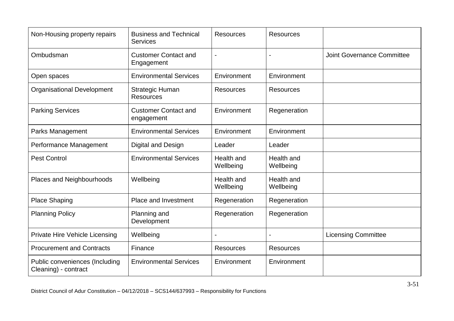| Non-Housing property repairs                           | <b>Business and Technical</b><br><b>Services</b> | <b>Resources</b>        | <b>Resources</b>        |                                   |
|--------------------------------------------------------|--------------------------------------------------|-------------------------|-------------------------|-----------------------------------|
| Ombudsman                                              | <b>Customer Contact and</b><br>Engagement        | $\overline{a}$          |                         | <b>Joint Governance Committee</b> |
| Open spaces                                            | <b>Environmental Services</b>                    | Environment             | Environment             |                                   |
| <b>Organisational Development</b>                      | <b>Strategic Human</b><br><b>Resources</b>       | <b>Resources</b>        | <b>Resources</b>        |                                   |
| <b>Parking Services</b>                                | <b>Customer Contact and</b><br>engagement        | Environment             | Regeneration            |                                   |
| Parks Management                                       | <b>Environmental Services</b>                    | Environment             | Environment             |                                   |
| Performance Management                                 | Digital and Design                               | Leader                  | Leader                  |                                   |
| <b>Pest Control</b>                                    | <b>Environmental Services</b>                    | Health and<br>Wellbeing | Health and<br>Wellbeing |                                   |
| Places and Neighbourhoods                              | Wellbeing                                        | Health and<br>Wellbeing | Health and<br>Wellbeing |                                   |
| <b>Place Shaping</b>                                   | Place and Investment                             | Regeneration            | Regeneration            |                                   |
| <b>Planning Policy</b>                                 | Planning and<br>Development                      | Regeneration            | Regeneration            |                                   |
| Private Hire Vehicle Licensing                         | Wellbeing                                        |                         |                         | <b>Licensing Committee</b>        |
| <b>Procurement and Contracts</b>                       | Finance                                          | <b>Resources</b>        | <b>Resources</b>        |                                   |
| Public conveniences (Including<br>Cleaning) - contract | <b>Environmental Services</b>                    | Environment             | Environment             |                                   |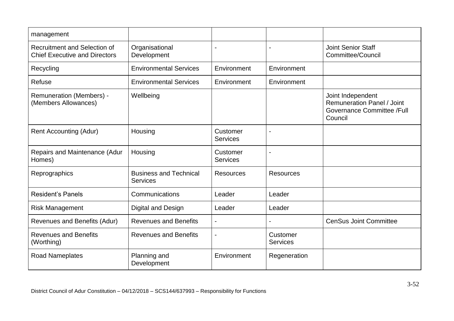| management                                                           |                                                  |                             |                             |                                                                                                 |
|----------------------------------------------------------------------|--------------------------------------------------|-----------------------------|-----------------------------|-------------------------------------------------------------------------------------------------|
| Recruitment and Selection of<br><b>Chief Executive and Directors</b> | Organisational<br>Development                    | $\blacksquare$              | $\blacksquare$              | <b>Joint Senior Staff</b><br>Committee/Council                                                  |
| Recycling                                                            | <b>Environmental Services</b>                    | Environment                 | Environment                 |                                                                                                 |
| <b>Refuse</b>                                                        | <b>Environmental Services</b>                    | Environment                 | Environment                 |                                                                                                 |
| <b>Remuneration (Members) -</b><br>(Members Allowances)              | Wellbeing                                        |                             |                             | Joint Independent<br><b>Remuneration Panel / Joint</b><br>Governance Committee /Full<br>Council |
| <b>Rent Accounting (Adur)</b>                                        | Housing                                          | Customer<br><b>Services</b> |                             |                                                                                                 |
| Repairs and Maintenance (Adur<br>Homes)                              | Housing                                          | Customer<br><b>Services</b> |                             |                                                                                                 |
| Reprographics                                                        | <b>Business and Technical</b><br><b>Services</b> | <b>Resources</b>            | <b>Resources</b>            |                                                                                                 |
| <b>Resident's Panels</b>                                             | Communications                                   | Leader                      | Leader                      |                                                                                                 |
| <b>Risk Management</b>                                               | Digital and Design                               | Leader                      | Leader                      |                                                                                                 |
| Revenues and Benefits (Adur)                                         | <b>Revenues and Benefits</b>                     | $\blacksquare$              |                             | <b>CenSus Joint Committee</b>                                                                   |
| <b>Revenues and Benefits</b><br>(Worthing)                           | <b>Revenues and Benefits</b>                     | $\overline{\phantom{a}}$    | Customer<br><b>Services</b> |                                                                                                 |
| <b>Road Nameplates</b>                                               | Planning and<br>Development                      | Environment                 | Regeneration                |                                                                                                 |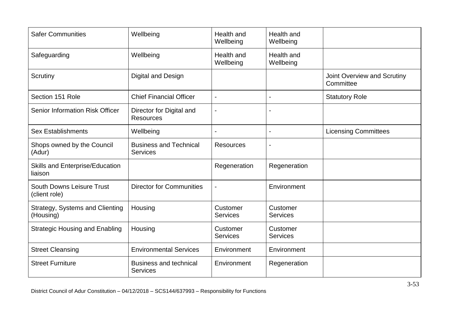| <b>Safer Communities</b>                            | Wellbeing                                        | Health and<br>Wellbeing     | Health and<br>Wellbeing      |                                          |
|-----------------------------------------------------|--------------------------------------------------|-----------------------------|------------------------------|------------------------------------------|
| Safeguarding                                        | Wellbeing                                        | Health and<br>Wellbeing     | Health and<br>Wellbeing      |                                          |
| Scrutiny                                            | Digital and Design                               |                             |                              | Joint Overview and Scrutiny<br>Committee |
| Section 151 Role                                    | <b>Chief Financial Officer</b>                   | $\overline{\phantom{a}}$    |                              | <b>Statutory Role</b>                    |
| Senior Information Risk Officer                     | Director for Digital and<br><b>Resources</b>     | $\overline{a}$              |                              |                                          |
| <b>Sex Establishments</b>                           | Wellbeing                                        |                             | $\qquad \qquad \blacksquare$ | <b>Licensing Committees</b>              |
| Shops owned by the Council<br>(Adur)                | <b>Business and Technical</b><br><b>Services</b> | <b>Resources</b>            |                              |                                          |
| <b>Skills and Enterprise/Education</b><br>liaison   |                                                  | Regeneration                | Regeneration                 |                                          |
| <b>South Downs Leisure Trust</b><br>(client role)   | <b>Director for Communities</b>                  |                             | Environment                  |                                          |
| <b>Strategy, Systems and Clienting</b><br>(Housing) | Housing                                          | Customer<br><b>Services</b> | Customer<br><b>Services</b>  |                                          |
| <b>Strategic Housing and Enabling</b>               | Housing                                          | Customer<br>Services        | Customer<br><b>Services</b>  |                                          |
| <b>Street Cleansing</b>                             | <b>Environmental Services</b>                    | Environment                 | Environment                  |                                          |
| <b>Street Furniture</b>                             | <b>Business and technical</b><br><b>Services</b> | Environment                 | Regeneration                 |                                          |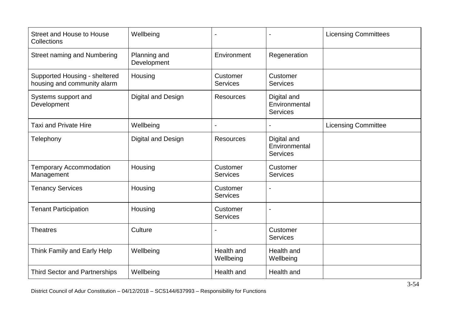| Street and House to House<br>Collections                     | Wellbeing                   |                             |                                                 | <b>Licensing Committees</b> |
|--------------------------------------------------------------|-----------------------------|-----------------------------|-------------------------------------------------|-----------------------------|
| <b>Street naming and Numbering</b>                           | Planning and<br>Development | Environment                 | Regeneration                                    |                             |
| Supported Housing - sheltered<br>housing and community alarm | Housing                     | Customer<br><b>Services</b> | Customer<br><b>Services</b>                     |                             |
| Systems support and<br>Development                           | Digital and Design          | <b>Resources</b>            | Digital and<br>Environmental<br><b>Services</b> |                             |
| <b>Taxi and Private Hire</b>                                 | Wellbeing                   |                             |                                                 | <b>Licensing Committee</b>  |
| Telephony                                                    | Digital and Design          | <b>Resources</b>            | Digital and<br>Environmental<br>Services        |                             |
| <b>Temporary Accommodation</b><br>Management                 | Housing                     | Customer<br><b>Services</b> | Customer<br><b>Services</b>                     |                             |
| <b>Tenancy Services</b>                                      | Housing                     | Customer<br><b>Services</b> |                                                 |                             |
| <b>Tenant Participation</b>                                  | Housing                     | Customer<br><b>Services</b> |                                                 |                             |
| <b>Theatres</b>                                              | Culture                     |                             | Customer<br><b>Services</b>                     |                             |
| Think Family and Early Help                                  | Wellbeing                   | Health and<br>Wellbeing     | Health and<br>Wellbeing                         |                             |
| <b>Third Sector and Partnerships</b>                         | Wellbeing                   | Health and                  | Health and                                      |                             |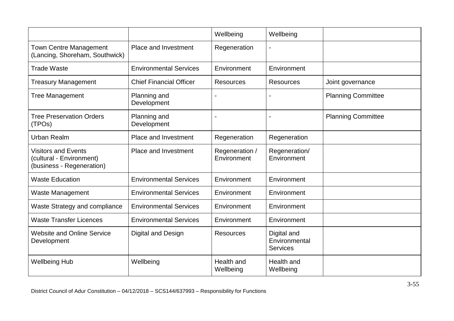|                                                                                     |                                | Wellbeing                     | Wellbeing                                       |                           |
|-------------------------------------------------------------------------------------|--------------------------------|-------------------------------|-------------------------------------------------|---------------------------|
| <b>Town Centre Management</b><br>(Lancing, Shoreham, Southwick)                     | Place and Investment           | Regeneration                  |                                                 |                           |
| <b>Trade Waste</b>                                                                  | <b>Environmental Services</b>  | Environment                   | Environment                                     |                           |
| <b>Treasury Management</b>                                                          | <b>Chief Financial Officer</b> | <b>Resources</b>              | <b>Resources</b>                                | Joint governance          |
| <b>Tree Management</b>                                                              | Planning and<br>Development    |                               |                                                 | <b>Planning Committee</b> |
| <b>Tree Preservation Orders</b><br>(TPOs)                                           | Planning and<br>Development    | $\blacksquare$                |                                                 | <b>Planning Committee</b> |
| <b>Urban Realm</b>                                                                  | Place and Investment           | Regeneration                  | Regeneration                                    |                           |
| <b>Visitors and Events</b><br>(cultural - Environment)<br>(business - Regeneration) | <b>Place and Investment</b>    | Regeneration /<br>Environment | Regeneration/<br>Environment                    |                           |
| <b>Waste Education</b>                                                              | <b>Environmental Services</b>  | Environment                   | Environment                                     |                           |
| <b>Waste Management</b>                                                             | <b>Environmental Services</b>  | Environment                   | Environment                                     |                           |
| Waste Strategy and compliance                                                       | <b>Environmental Services</b>  | Environment                   | Environment                                     |                           |
| <b>Waste Transfer Licences</b>                                                      | <b>Environmental Services</b>  | Environment                   | Environment                                     |                           |
| <b>Website and Online Service</b><br>Development                                    | Digital and Design             | <b>Resources</b>              | Digital and<br>Environmental<br><b>Services</b> |                           |
| <b>Wellbeing Hub</b>                                                                | Wellbeing                      | Health and<br>Wellbeing       | Health and<br>Wellbeing                         |                           |